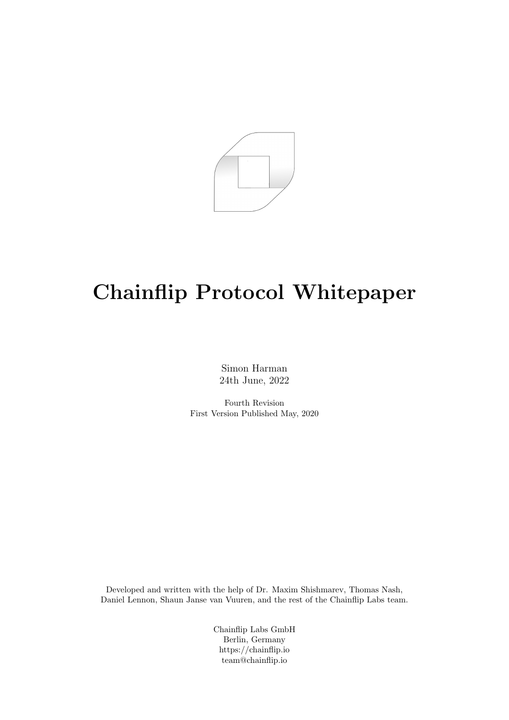

# Chainflip Protocol Whitepaper

Simon Harman 24th June, 2022

Fourth Revision First Version Published May, 2020

Developed and written with the help of Dr. Maxim Shishmarev, Thomas Nash, Daniel Lennon, Shaun Janse van Vuuren, and the rest of the Chainflip Labs team.

> Chainflip Labs GmbH Berlin, Germany https://chainflip.io team@chainflip.io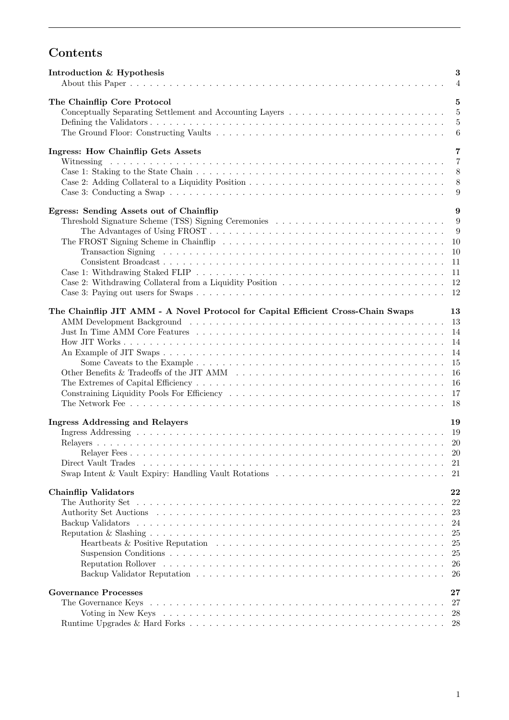# Contents

| Introduction & Hypothesis                                                                                        |  |  | 3<br>$\overline{4}$ |
|------------------------------------------------------------------------------------------------------------------|--|--|---------------------|
| The Chainflip Core Protocol                                                                                      |  |  | $\overline{5}$      |
| Conceptually Separating Settlement and Accounting Layers $\dots \dots \dots \dots \dots \dots \dots \dots \dots$ |  |  | $\overline{5}$      |
|                                                                                                                  |  |  | $\overline{5}$      |
|                                                                                                                  |  |  | $\boldsymbol{6}$    |
|                                                                                                                  |  |  |                     |
| <b>Ingress: How Chainflip Gets Assets</b>                                                                        |  |  | $\overline{7}$      |
|                                                                                                                  |  |  | $\overline{7}$      |
|                                                                                                                  |  |  | 8                   |
|                                                                                                                  |  |  | 8                   |
|                                                                                                                  |  |  | 9                   |
|                                                                                                                  |  |  |                     |
| Egress: Sending Assets out of Chainflip                                                                          |  |  | 9                   |
| Threshold Signature Scheme (TSS) Signing Ceremonies                                                              |  |  | 9                   |
|                                                                                                                  |  |  | 9                   |
|                                                                                                                  |  |  |                     |
|                                                                                                                  |  |  |                     |
|                                                                                                                  |  |  |                     |
|                                                                                                                  |  |  | -11                 |
|                                                                                                                  |  |  |                     |
|                                                                                                                  |  |  | - 12                |
|                                                                                                                  |  |  |                     |
| The Chainflip JIT AMM - A Novel Protocol for Capital Efficient Cross-Chain Swaps                                 |  |  | 13<br>13            |
|                                                                                                                  |  |  |                     |
|                                                                                                                  |  |  | 14                  |
|                                                                                                                  |  |  | 14                  |
|                                                                                                                  |  |  | -14                 |
|                                                                                                                  |  |  | -15                 |
|                                                                                                                  |  |  | <sup>16</sup>       |
|                                                                                                                  |  |  | -16                 |
|                                                                                                                  |  |  | 17                  |
|                                                                                                                  |  |  | -18                 |
| <b>Ingress Addressing and Relayers</b>                                                                           |  |  | 19                  |
|                                                                                                                  |  |  |                     |
|                                                                                                                  |  |  |                     |
|                                                                                                                  |  |  | 20                  |
|                                                                                                                  |  |  | - 21                |
|                                                                                                                  |  |  | 21                  |
|                                                                                                                  |  |  |                     |
| <b>Chainflip Validators</b>                                                                                      |  |  | 22                  |
|                                                                                                                  |  |  | 22                  |
|                                                                                                                  |  |  | 23                  |
|                                                                                                                  |  |  | 24                  |
|                                                                                                                  |  |  | 25                  |
|                                                                                                                  |  |  | 25                  |
|                                                                                                                  |  |  | 25                  |
|                                                                                                                  |  |  | 26                  |
|                                                                                                                  |  |  | 26                  |
|                                                                                                                  |  |  |                     |
| <b>Governance Processes</b>                                                                                      |  |  | 27                  |
| The Governance Keys                                                                                              |  |  | 27                  |
|                                                                                                                  |  |  | 28                  |
|                                                                                                                  |  |  | 28                  |
|                                                                                                                  |  |  |                     |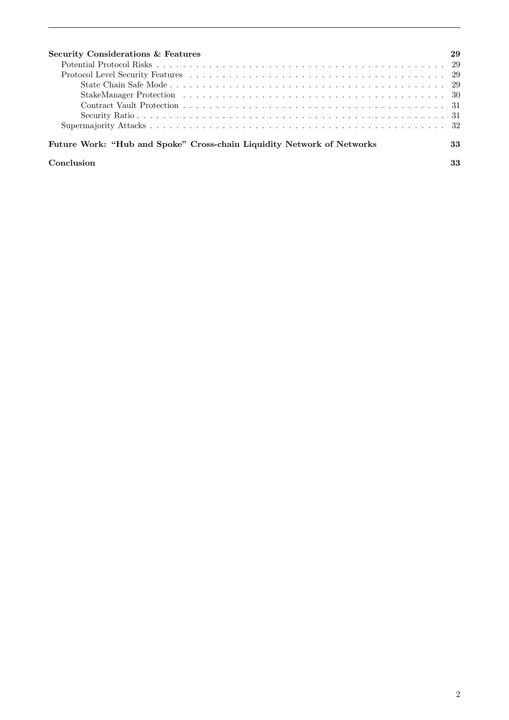| Security Considerations & Features                                     | 29 |
|------------------------------------------------------------------------|----|
|                                                                        |    |
|                                                                        |    |
|                                                                        |    |
|                                                                        |    |
|                                                                        |    |
|                                                                        |    |
|                                                                        |    |
| Future Work: "Hub and Spoke" Cross-chain Liquidity Network of Networks | 33 |
| Conclusion                                                             |    |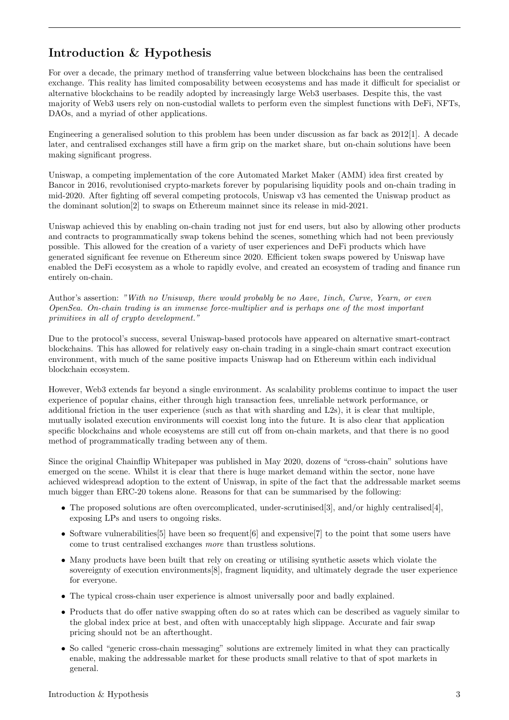# <span id="page-3-0"></span>Introduction & Hypothesis

For over a decade, the primary method of transferring value between blockchains has been the centralised exchange. This reality has limited composability between ecosystems and has made it difficult for specialist or alternative blockchains to be readily adopted by increasingly large Web3 userbases. Despite this, the vast majority of Web3 users rely on non-custodial wallets to perform even the simplest functions with DeFi, NFTs, DAOs, and a myriad of other applications.

Engineering a generalised solution to this problem has been under discussion as far back as [2012\[](https://bitcointalk.org/index.php?topic=91843.0)[1\]](#page-34-0). A decade later, and centralised exchanges still have a firm grip on the market share, but on-chain solutions have been making significant progress.

Uniswap, a competing implementation of the core Automated Market Maker (AMM) idea first created by Bancor in 2016, revolutionised crypto-markets forever by popularising liquidity pools and on-chain trading in mid-2020. After fighting off several competing protocols, Uniswap v3 has cemented the Uniswap product as the [dominant solution\[](https://dune.xyz/hagaetc/dex-metrics)[2\]](#page-34-1) to swaps on Ethereum mainnet since its release in mid-2021.

Uniswap achieved this by enabling on-chain trading not just for end users, but also by allowing other products and contracts to programmatically swap tokens behind the scenes, something which had not been previously possible. This allowed for the creation of a variety of user experiences and DeFi products which have generated significant fee revenue on Ethereum since 2020. Efficient token swaps powered by Uniswap have enabled the DeFi ecosystem as a whole to rapidly evolve, and created an ecosystem of trading and finance run entirely on-chain.

Author's assertion: "With no Uniswap, there would probably be no Aave, 1inch, Curve, Yearn, or even OpenSea. On-chain trading is an immense force-multiplier and is perhaps one of the most important primitives in all of crypto development."

Due to the protocol's success, several Uniswap-based protocols have appeared on alternative smart-contract blockchains. This has allowed for relatively easy on-chain trading in a single-chain smart contract execution environment, with much of the same positive impacts Uniswap had on Ethereum within each individual blockchain ecosystem.

However, Web3 extends far beyond a single environment. As scalability problems continue to impact the user experience of popular chains, either through high transaction fees, unreliable network performance, or additional friction in the user experience (such as that with sharding and L2s), it is clear that multiple, mutually isolated execution environments will coexist long into the future. It is also clear that application specific blockchains and whole ecosystems are still cut off from on-chain markets, and that there is no good method of programmatically trading between any of them.

Since the original Chainflip Whitepaper was published in May 2020, dozens of "cross-chain" solutions have emerged on the scene. Whilst it is clear that there is huge market demand within the sector, none have achieved widespread adoption to the extent of Uniswap, in spite of the fact that the addressable market seems much bigger than ERC-20 tokens alone. Reasons for that can be summarised by the following:

- The proposed solutions are often overcomplicated, under-scrutinised [[3\]](#page-34-2), and/or highly centralised [[4\]](#page-34-3), exposing LPs and users to ongoing risks.
- Software vulnerabilities [[5\]](#page-34-4) have been so frequent [[6\]](#page-34-5) and expensive [[7\]](#page-34-6) to the point that some users have come to trust centralised exchanges more than trustless solutions.
- Many products have been built that rely on creating or utilising synthetic assets which [violate the](https://old.reddit.com/r/ethereum/comments/rwojtk/ama_we_are_the_efs_research_team_pt_7_07_january/hrngyk8/) sovereignty of execution environments [[8\]](#page-34-7), fragment liquidity, and ultimately degrade the user experience for everyone.
- The typical cross-chain user experience is almost universally poor and badly explained.
- Products that do offer native swapping often do so at rates which can be described as vaguely similar to the global index price at best, and often with unacceptably high slippage. Accurate and fair swap pricing should not be an afterthought.
- So called "generic cross-chain messaging" solutions are extremely limited in what they can practically enable, making the addressable market for these products small relative to that of spot markets in general.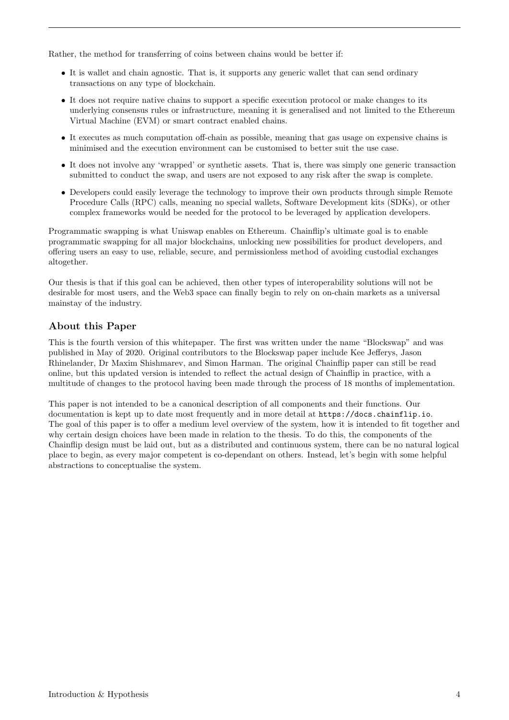Rather, the method for transferring of coins between chains would be better if:

- It is wallet and chain agnostic. That is, it supports any generic wallet that can send ordinary transactions on any type of blockchain.
- It does not require native chains to support a specific execution protocol or make changes to its underlying consensus rules or infrastructure, meaning it is generalised and not limited to the Ethereum Virtual Machine (EVM) or smart contract enabled chains.
- It executes as much computation off-chain as possible, meaning that gas usage on expensive chains is minimised and the execution environment can be customised to better suit the use case.
- It does not involve any 'wrapped' or synthetic assets. That is, there was simply one generic transaction submitted to conduct the swap, and users are not exposed to any risk after the swap is complete.
- Developers could easily leverage the technology to improve their own products through simple Remote Procedure Calls (RPC) calls, meaning no special wallets, Software Development kits (SDKs), or other complex frameworks would be needed for the protocol to be leveraged by application developers.

Programmatic swapping is what Uniswap enables on Ethereum. Chainflip's ultimate goal is to enable programmatic swapping for all major blockchains, unlocking new possibilities for product developers, and offering users an easy to use, reliable, secure, and permissionless method of avoiding custodial exchanges altogether.

Our thesis is that if this goal can be achieved, then other types of interoperability solutions will not be desirable for most users, and the Web3 space can finally begin to rely on on-chain markets as a universal mainstay of the industry.

#### <span id="page-4-0"></span>About this Paper

This is the fourth version of this whitepaper. The first was written under the name "Blockswap" and was published in May of 2020. Original contributors to the Blockswap paper include Kee Jefferys, Jason Rhinelander, Dr Maxim Shishmarev, and Simon Harman. The original Chainflip paper can still be read online, but this updated version is intended to reflect the actual design of Chainflip in practice, with a multitude of changes to the protocol having been made through the process of 18 months of implementation.

This paper is not intended to be a canonical description of all components and their functions. Our documentation is kept up to date most frequently and in more detail at <https://docs.chainflip.io>. The goal of this paper is to offer a medium level overview of the system, how it is intended to fit together and why certain design choices have been made in relation to the thesis. To do this, the components of the Chainflip design must be laid out, but as a distributed and continuous system, there can be no natural logical place to begin, as every major competent is co-dependant on others. Instead, let's begin with some helpful abstractions to conceptualise the system.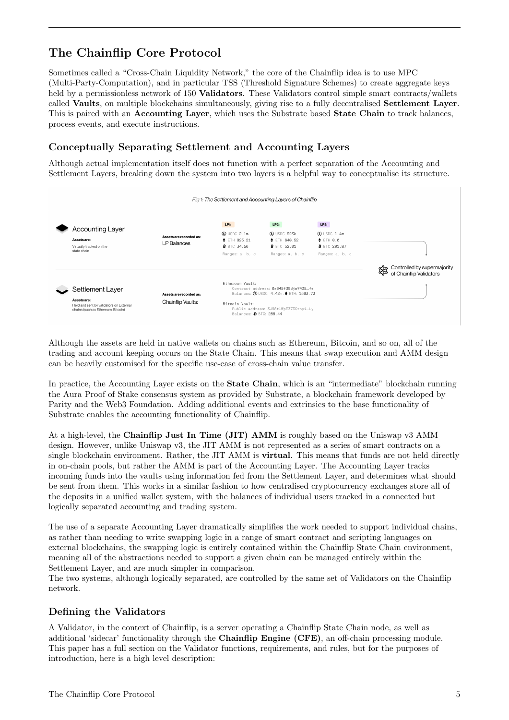# <span id="page-5-0"></span>The Chainflip Core Protocol

Sometimes called a "Cross-Chain Liquidity Network," the core of the Chainflip idea is to use MPC (Multi-Party-Computation), and in particular TSS (Threshold Signature Schemes) to create aggregate keys held by a permissionless network of 150 **Validators**. These Validators control simple smart contracts/wallets called Vaults, on multiple blockchains simultaneously, giving rise to a fully decentralised Settlement Layer. This is paired with an Accounting Layer, which uses the Substrate based State Chain to track balances, process events, and execute instructions.

### <span id="page-5-1"></span>Conceptually Separating Settlement and Accounting Layers

Although actual implementation itself does not function with a perfect separation of the Accounting and Settlement Layers, breaking down the system into two layers is a helpful way to conceptualise its structure.



Although the assets are held in native wallets on chains such as Ethereum, Bitcoin, and so on, all of the trading and account keeping occurs on the State Chain. This means that swap execution and AMM design can be heavily customised for the specific use-case of cross-chain value transfer.

In practice, the Accounting Layer exists on the **State Chain**, which is an "intermediate" blockchain running the Aura Proof of Stake consensus system as provided by Substrate, a blockchain framework developed by Parity and the Web3 Foundation. Adding additional events and extrinsics to the base functionality of Substrate enables the accounting functionality of Chainflip.

At a high-level, the Chainflip Just In Time (JIT) AMM is roughly based on the Uniswap v3 AMM design. However, unlike Uniswap v3, the JIT AMM is not represented as a series of smart contracts on a single blockchain environment. Rather, the JIT AMM is **virtual**. This means that funds are not held directly in on-chain pools, but rather the AMM is part of the Accounting Layer. The Accounting Layer tracks incoming funds into the vaults using information fed from the Settlement Layer, and determines what should be sent from them. This works in a similar fashion to how centralised cryptocurrency exchanges store all of the deposits in a unified wallet system, with the balances of individual users tracked in a connected but logically separated accounting and trading system.

The use of a separate Accounting Layer dramatically simplifies the work needed to support individual chains, as rather than needing to write swapping logic in a range of smart contract and scripting languages on external blockchains, the swapping logic is entirely contained within the Chainflip State Chain environment, meaning all of the abstractions needed to support a given chain can be managed entirely within the Settlement Layer, and are much simpler in comparison.

The two systems, although logically separated, are controlled by the same set of Validators on the Chainflip network.

#### <span id="page-5-2"></span>Defining the Validators

A Validator, in the context of Chainflip, is a server operating a Chainflip State Chain node, as well as additional 'sidecar' functionality through the Chainflip Engine (CFE), an off-chain processing module. This paper has a full section on the Validator functions, requirements, and rules, but for the purposes of introduction, here is a high level description: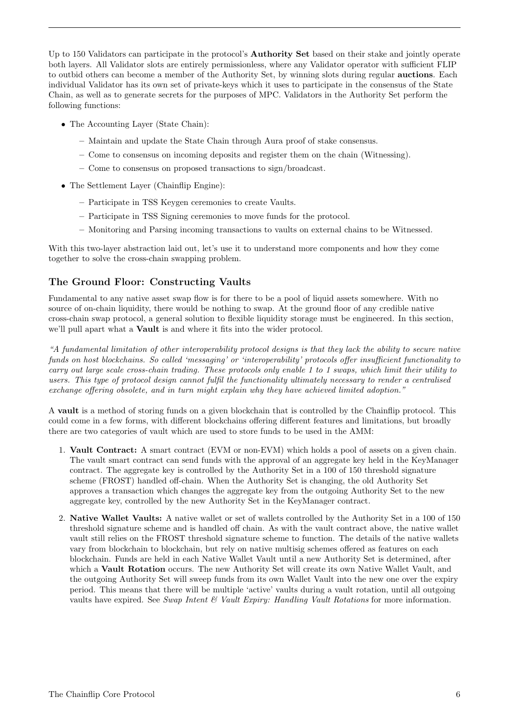Up to 150 Validators can participate in the protocol's **Authority Set** based on their stake and jointly operate both layers. All Validator slots are entirely permissionless, where any Validator operator with sufficient FLIP to outbid others can become a member of the Authority Set, by winning slots during regular auctions. Each individual Validator has its own set of private-keys which it uses to participate in the consensus of the State Chain, as well as to generate secrets for the purposes of MPC. Validators in the Authority Set perform the following functions:

- The Accounting Layer (State Chain):
	- Maintain and update the State Chain through Aura proof of stake consensus.
	- Come to consensus on incoming deposits and register them on the chain (Witnessing).
	- Come to consensus on proposed transactions to sign/broadcast.
- The Settlement Layer (Chainflip Engine):
	- Participate in TSS Keygen ceremonies to create Vaults.
	- Participate in TSS Signing ceremonies to move funds for the protocol.
	- Monitoring and Parsing incoming transactions to vaults on external chains to be Witnessed.

With this two-layer abstraction laid out, let's use it to understand more components and how they come together to solve the cross-chain swapping problem.

#### <span id="page-6-0"></span>The Ground Floor: Constructing Vaults

Fundamental to any native asset swap flow is for there to be a pool of liquid assets somewhere. With no source of on-chain liquidity, there would be nothing to swap. At the ground floor of any credible native cross-chain swap protocol, a general solution to flexible liquidity storage must be engineered. In this section, we'll pull apart what a Vault is and where it fits into the wider protocol.

"A fundamental limitation of other interoperability protocol designs is that they lack the ability to secure native funds on host blockchains. So called 'messaging' or 'interoperability' protocols offer insufficient functionality to carry out large scale cross-chain trading. These protocols only enable 1 to 1 swaps, which limit their utility to users. This type of protocol design cannot fulfil the functionality ultimately necessary to render a centralised exchange offering obsolete, and in turn might explain why they have achieved limited adoption."

A vault is a method of storing funds on a given blockchain that is controlled by the Chainflip protocol. This could come in a few forms, with different blockchains offering different features and limitations, but broadly there are two categories of vault which are used to store funds to be used in the AMM:

- 1. Vault Contract: A smart contract (EVM or non-EVM) which holds a pool of assets on a given chain. The vault smart contract can send funds with the approval of an aggregate key held in the KeyManager contract. The aggregate key is controlled by the Authority Set in a 100 of 150 threshold signature scheme (FROST) handled off-chain. When the Authority Set is changing, the old Authority Set approves a transaction which changes the aggregate key from the outgoing Authority Set to the new aggregate key, controlled by the new Authority Set in the KeyManager contract.
- 2. Native Wallet Vaults: A native wallet or set of wallets controlled by the Authority Set in a 100 of 150 threshold signature scheme and is handled off chain. As with the vault contract above, the native wallet vault still relies on the FROST threshold signature scheme to function. The details of the native wallets vary from blockchain to blockchain, but rely on native multisig schemes offered as features on each blockchain. Funds are held in each Native Wallet Vault until a new Authority Set is determined, after which a Vault Rotation occurs. The new Authority Set will create its own Native Wallet Vault, and the outgoing Authority Set will sweep funds from its own Wallet Vault into the new one over the expiry period. This means that there will be multiple 'active' vaults during a vault rotation, until all outgoing vaults have expired. See Swap Intent  $\mathcal C$  Vault Expiry: Handling Vault Rotations for more information.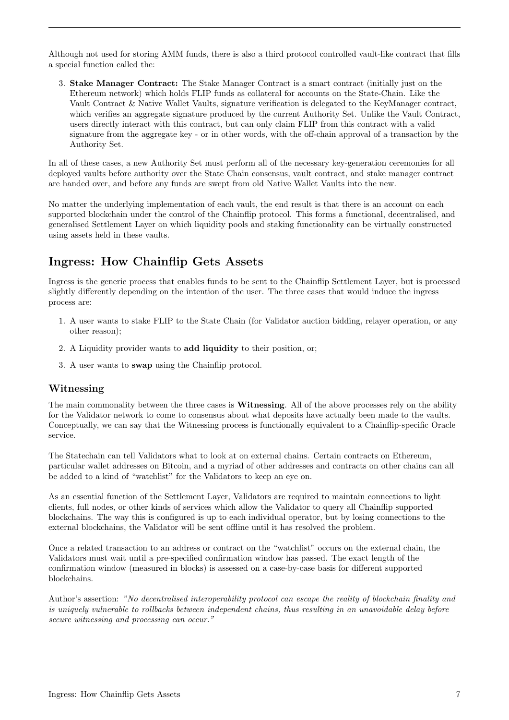Although not used for storing AMM funds, there is also a third protocol controlled vault-like contract that fills a special function called the:

3. Stake Manager Contract: The Stake Manager Contract is a smart contract (initially just on the Ethereum network) which holds FLIP funds as collateral for accounts on the State-Chain. Like the Vault Contract & Native Wallet Vaults, signature verification is delegated to the KeyManager contract, which verifies an aggregate signature produced by the current Authority Set. Unlike the Vault Contract, users directly interact with this contract, but can only claim FLIP from this contract with a valid signature from the aggregate key - or in other words, with the off-chain approval of a transaction by the Authority Set.

In all of these cases, a new Authority Set must perform all of the necessary key-generation ceremonies for all deployed vaults before authority over the State Chain consensus, vault contract, and stake manager contract are handed over, and before any funds are swept from old Native Wallet Vaults into the new.

No matter the underlying implementation of each vault, the end result is that there is an account on each supported blockchain under the control of the Chainflip protocol. This forms a functional, decentralised, and generalised Settlement Layer on which liquidity pools and staking functionality can be virtually constructed using assets held in these vaults.

# <span id="page-7-0"></span>Ingress: How Chainflip Gets Assets

Ingress is the generic process that enables funds to be sent to the Chainflip Settlement Layer, but is processed slightly differently depending on the intention of the user. The three cases that would induce the ingress process are:

- 1. A user wants to stake FLIP to the State Chain (for Validator auction bidding, relayer operation, or any other reason);
- 2. A Liquidity provider wants to add liquidity to their position, or;
- 3. A user wants to swap using the Chainflip protocol.

#### <span id="page-7-1"></span>Witnessing

The main commonality between the three cases is **Witnessing**. All of the above processes rely on the ability for the Validator network to come to consensus about what deposits have actually been made to the vaults. Conceptually, we can say that the Witnessing process is functionally equivalent to a Chainflip-specific Oracle service.

The Statechain can tell Validators what to look at on external chains. Certain contracts on Ethereum, particular wallet addresses on Bitcoin, and a myriad of other addresses and contracts on other chains can all be added to a kind of "watchlist" for the Validators to keep an eye on.

As an essential function of the Settlement Layer, Validators are required to maintain connections to light clients, full nodes, or other kinds of services which allow the Validator to query all Chainflip supported blockchains. The way this is configured is up to each individual operator, but by losing connections to the external blockchains, the Validator will be sent offline until it has resolved the problem.

Once a related transaction to an address or contract on the "watchlist" occurs on the external chain, the Validators must wait until a pre-specified confirmation window has passed. The exact length of the confirmation window (measured in blocks) is assessed on a case-by-case basis for different supported blockchains.

Author's assertion: "No decentralised interoperability protocol can escape the reality of blockchain finality and is uniquely vulnerable to rollbacks between independent chains, thus resulting in an unavoidable delay before secure witnessing and processing can occur."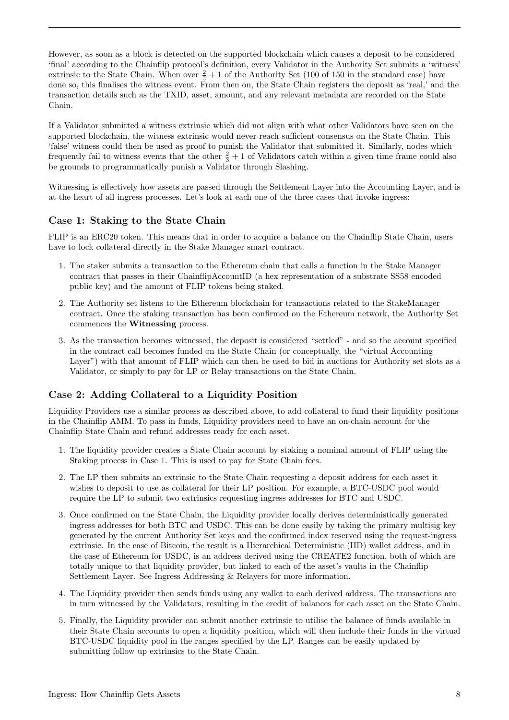However, as soon as a block is detected on the supported blockchain which causes a deposit to be considered 'final' according to the Chainflip protocol's definition, every Validator in the Authority Set submits a 'witness' extrinsic to the State Chain. When over  $\frac{2}{3} + 1$  of the Authority Set (100 of 150 in the standard case) have done so, this finalises the witness event. From then on, the State Chain registers the deposit as 'real,' and the transaction details such as the TXID, asset, amount, and any relevant metadata are recorded on the State Chain.

If a Validator submitted a witness extrinsic which did not align with what other Validators have seen on the supported blockchain, the witness extrinsic would never reach sufficient consensus on the State Chain. This 'false' witness could then be used as proof to punish the Validator that submitted it. Similarly, nodes which frequently fail to witness events that the other  $\frac{2}{3} + 1$  of Validators catch within a given time frame could also be grounds to programmatically punish a Validator through Slashing.

Witnessing is effectively how assets are passed through the Settlement Layer into the Accounting Layer, and is at the heart of all ingress processes. Let's look at each one of the three cases that invoke ingress:

#### <span id="page-8-0"></span>Case 1: Staking to the State Chain

FLIP is an ERC20 token. This means that in order to acquire a balance on the Chainflip State Chain, users have to lock collateral directly in the Stake Manager smart contract.

- 1. The staker submits a transaction to the Ethereum chain that calls a function in the Stake Manager contract that passes in their ChainflipAccountID (a hex representation of a substrate SS58 encoded public key) and the amount of FLIP tokens being staked.
- 2. The Authority set listens to the Ethereum blockchain for transactions related to the StakeManager contract. Once the staking transaction has been confirmed on the Ethereum network, the Authority Set commences the Witnessing process.
- 3. As the transaction becomes witnessed, the deposit is considered "settled" and so the account specified in the contract call becomes funded on the State Chain (or conceptually, the "virtual Accounting Layer") with that amount of FLIP which can then be used to bid in auctions for Authority set slots as a Validator, or simply to pay for LP or Relay transactions on the State Chain.

### <span id="page-8-1"></span>Case 2: Adding Collateral to a Liquidity Position

Liquidity Providers use a similar process as described above, to add collateral to fund their liquidity positions in the Chainflip AMM. To pass in funds, Liquidity providers need to have an on-chain account for the Chainflip State Chain and refund addresses ready for each asset.

- 1. The liquidity provider creates a State Chain account by staking a nominal amount of FLIP using the Staking process in Case 1. This is used to pay for State Chain fees.
- 2. The LP then submits an extrinsic to the State Chain requesting a deposit address for each asset it wishes to deposit to use as collateral for their LP position. For example, a BTC-USDC pool would require the LP to submit two extrinsics requesting ingress addresses for BTC and USDC.
- 3. Once confirmed on the State Chain, the Liquidity provider locally derives deterministically generated ingress addresses for both BTC and USDC. This can be done easily by taking the primary multisig key generated by the current Authority Set keys and the confirmed index reserved using the request-ingress extrinsic. In the case of Bitcoin, the result is a Hierarchical Deterministic (HD) wallet address, and in the case of Ethereum for USDC, is an address derived using the CREATE2 function, both of which are totally unique to that liquidity provider, but linked to each of the asset's vaults in the Chainflip Settlement Layer. See Ingress Addressing & Relayers for more information.
- 4. The Liquidity provider then sends funds using any wallet to each derived address. The transactions are in turn witnessed by the Validators, resulting in the credit of balances for each asset on the State Chain.
- 5. Finally, the Liquidity provider can submit another extrinsic to utilise the balance of funds available in their State Chain accounts to open a liquidity position, which will then include their funds in the virtual BTC-USDC liquidity pool in the ranges specified by the LP. Ranges can be easily updated by submitting follow up extrinsics to the State Chain.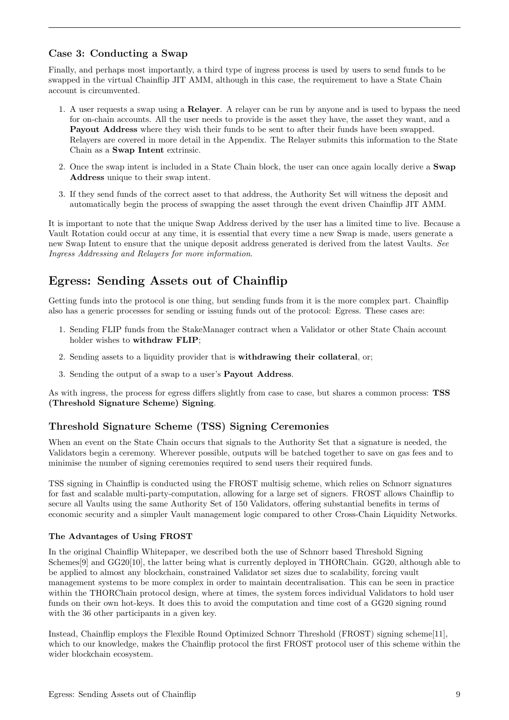### <span id="page-9-0"></span>Case 3: Conducting a Swap

Finally, and perhaps most importantly, a third type of ingress process is used by users to send funds to be swapped in the virtual Chainflip JIT AMM, although in this case, the requirement to have a State Chain account is circumvented.

- 1. A user requests a swap using a Relayer. A relayer can be run by anyone and is used to bypass the need for on-chain accounts. All the user needs to provide is the asset they have, the asset they want, and a Payout Address where they wish their funds to be sent to after their funds have been swapped. Relayers are covered in more detail in the Appendix. The Relayer submits this information to the State Chain as a Swap Intent extrinsic.
- 2. Once the swap intent is included in a State Chain block, the user can once again locally derive a Swap Address unique to their swap intent.
- 3. If they send funds of the correct asset to that address, the Authority Set will witness the deposit and automatically begin the process of swapping the asset through the event driven Chainflip JIT AMM.

It is important to note that the unique Swap Address derived by the user has a limited time to live. Because a Vault Rotation could occur at any time, it is essential that every time a new Swap is made, users generate a new Swap Intent to ensure that the unique deposit address generated is derived from the latest Vaults. [See](#page-19-0) [Ingress Addressing and Relayers for more information](#page-19-0).

# <span id="page-9-1"></span>Egress: Sending Assets out of Chainflip

Getting funds into the protocol is one thing, but sending funds from it is the more complex part. Chainflip also has a generic processes for sending or issuing funds out of the protocol: Egress. These cases are:

- 1. Sending FLIP funds from the StakeManager contract when a Validator or other State Chain account holder wishes to withdraw FLIP;
- 2. Sending assets to a liquidity provider that is withdrawing their collateral, or;
- 3. Sending the output of a swap to a user's Payout Address.

As with ingress, the process for egress differs slightly from case to case, but shares a common process: TSS (Threshold Signature Scheme) Signing.

#### <span id="page-9-2"></span>Threshold Signature Scheme (TSS) Signing Ceremonies

When an event on the State Chain occurs that signals to the Authority Set that a signature is needed, the Validators begin a ceremony. Wherever possible, outputs will be batched together to save on gas fees and to minimise the number of signing ceremonies required to send users their required funds.

TSS signing in Chainflip is conducted using the FROST multisig scheme, which relies on Schnorr signatures for fast and scalable multi-party-computation, allowing for a large set of signers. FROST allows Chainflip to secure all Vaults using the same Authority Set of 150 Validators, offering substantial benefits in terms of economic security and a simpler Vault management logic compared to other Cross-Chain Liquidity Networks.

#### <span id="page-9-3"></span>The Advantages of Using FROST

In the original Chainflip Whitepaper, we described both the use of [Schnorr based Threshold Signing](http://cacr.uwaterloo.ca/techreports/2001/corr2001-13.ps) [Schemes\[](http://cacr.uwaterloo.ca/techreports/2001/corr2001-13.ps)[9\]](#page-34-8) and [GG20](https://eprint.iacr.org/2020/540.pdf)[\[10\]](#page-34-9), the latter being what is currently deployed in THORChain. GG20, although able to be applied to almost any blockchain, constrained Validator set sizes due to scalability, forcing vault management systems to be more complex in order to maintain decentralisation. This can be seen in practice within the THORChain protocol design, where at times, the system forces individual Validators to hold user funds on their own hot-keys. It does this to avoid the computation and time cost of a GG20 signing round with the 36 other participants in a given key.

Instead, Chainflip employs the [Flexible Round Optimized Schnorr Threshold \(FROST\) signing scheme\[](https://eprint.iacr.org/2020/852.pdf)[11\]](#page-34-10), which to our knowledge, makes the Chainflip protocol the first FROST protocol user of this scheme within the wider blockchain ecosystem.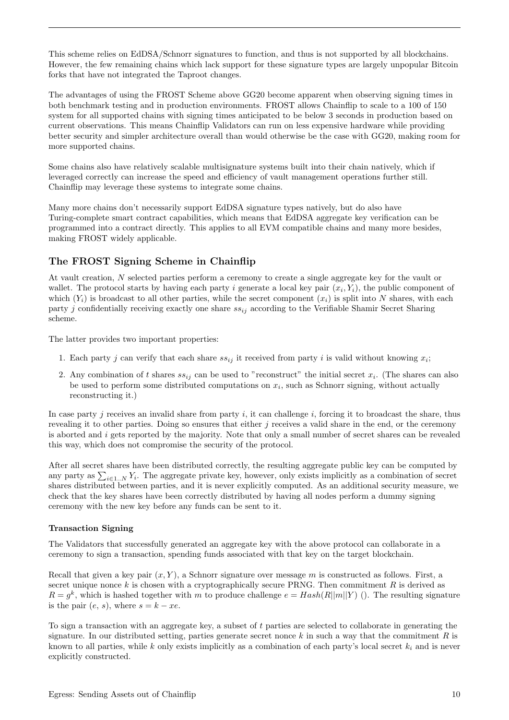This scheme relies on EdDSA/Schnorr signatures to function, and thus is not supported by all blockchains. However, the few remaining chains which lack support for these signature types are largely unpopular Bitcoin forks that have not integrated the Taproot changes.

The advantages of using the FROST Scheme above GG20 become apparent when observing signing times in both benchmark testing and in production environments. FROST allows Chainflip to scale to a 100 of 150 system for all supported chains with signing times anticipated to be below 3 seconds in production based on current observations. This means Chainflip Validators can run on less expensive hardware while providing better security and simpler architecture overall than would otherwise be the case with GG20, making room for more supported chains.

Some chains also have relatively scalable multisignature systems built into their chain natively, which if leveraged correctly can increase the speed and efficiency of vault management operations further still. Chainflip may leverage these systems to integrate some chains.

Many more chains don't necessarily support EdDSA signature types natively, but do also have Turing-complete smart contract capabilities, which means that EdDSA aggregate key verification can be programmed into a contract directly. This applies to all EVM compatible chains and many more besides, making FROST widely applicable.

### <span id="page-10-0"></span>The FROST Signing Scheme in Chainflip

At vault creation, N selected parties perform a ceremony to create a single aggregate key for the vault or wallet. The protocol starts by having each party i generate a local key pair  $(x_i, Y_i)$ , the public component of which  $(Y_i)$  is broadcast to all other parties, while the secret component  $(x_i)$  is split into N shares, with each party j confidentially receiving exactly one share  $ss_{ij}$  according to the Verifiable Shamir Secret Sharing scheme.

The latter provides two important properties:

- 1. Each party j can verify that each share  $ss_{ij}$  it received from party i is valid without knowing  $x_i$ ;
- 2. Any combination of t shares  $ss_{ij}$  can be used to "reconstruct" the initial secret  $x_i$ . (The shares can also be used to perform some distributed computations on  $x_i$ , such as Schnorr signing, without actually reconstructing it.)

In case party j receives an invalid share from party i, it can challenge i, forcing it to broadcast the share, thus revealing it to other parties. Doing so ensures that either j receives a valid share in the end, or the ceremony is aborted and i gets reported by the majority. Note that only a small number of secret shares can be revealed this way, which does not compromise the security of the protocol.

After all secret shares have been distributed correctly, the resulting aggregate public key can be computed by any party as  $\sum_{i\in 1..N} Y_i$ . The aggregate private key, however, only exists implicitly as a combination of secret shares distributed between parties, and it is never explicitly computed. As an additional security measure, we check that the key shares have been correctly distributed by having all nodes perform a dummy signing ceremony with the new key before any funds can be sent to it.

#### <span id="page-10-1"></span>Transaction Signing

The Validators that successfully generated an aggregate key with the above protocol can collaborate in a ceremony to sign a transaction, spending funds associated with that key on the target blockchain.

Recall that given a key pair  $(x, Y)$ , a Schnorr signature over message m is constructed as follows. First, a secret unique nonce k is chosen with a cryptographically secure PRNG. Then commitment  $R$  is derived as  $R = g^k$ , which is hashed together with m to produce challenge  $e = Hash(R||m||Y)$  (). The resulting signature is the pair  $(e, s)$ , where  $s = k - xe$ .

To sign a transaction with an aggregate key, a subset of t parties are selected to collaborate in generating the signature. In our distributed setting, parties generate secret nonce k in such a way that the commitment R is known to all parties, while k only exists implicitly as a combination of each party's local secret  $k_i$  and is never explicitly constructed.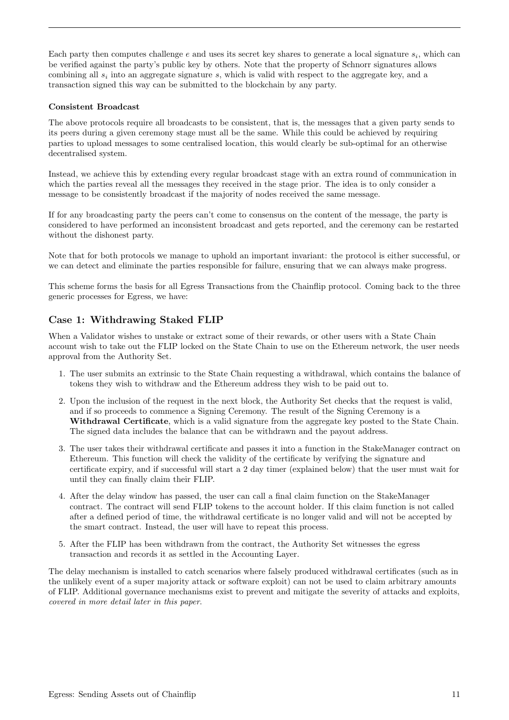Each party then computes challenge  $e$  and uses its secret key shares to generate a local signature  $s_i$ , which can be verified against the party's public key by others. Note that the property of Schnorr signatures allows combining all  $s_i$  into an aggregate signature s, which is valid with respect to the aggregate key, and a transaction signed this way can be submitted to the blockchain by any party.

#### <span id="page-11-0"></span>Consistent Broadcast

The above protocols require all broadcasts to be consistent, that is, the messages that a given party sends to its peers during a given ceremony stage must all be the same. While this could be achieved by requiring parties to upload messages to some centralised location, this would clearly be sub-optimal for an otherwise decentralised system.

Instead, we achieve this by extending every regular broadcast stage with an extra round of communication in which the parties reveal all the messages they received in the stage prior. The idea is to only consider a message to be consistently broadcast if the majority of nodes received the same message.

If for any broadcasting party the peers can't come to consensus on the content of the message, the party is considered to have performed an inconsistent broadcast and gets reported, and the ceremony can be restarted without the dishonest party.

Note that for both protocols we manage to uphold an important invariant: the protocol is either successful, or we can detect and eliminate the parties responsible for failure, ensuring that we can always make progress.

This scheme forms the basis for all Egress Transactions from the Chainflip protocol. Coming back to the three generic processes for Egress, we have:

### <span id="page-11-1"></span>Case 1: Withdrawing Staked FLIP

When a Validator wishes to unstake or extract some of their rewards, or other users with a State Chain account wish to take out the FLIP locked on the State Chain to use on the Ethereum network, the user needs approval from the Authority Set.

- 1. The user submits an extrinsic to the State Chain requesting a withdrawal, which contains the balance of tokens they wish to withdraw and the Ethereum address they wish to be paid out to.
- 2. Upon the inclusion of the request in the next block, the Authority Set checks that the request is valid, and if so proceeds to commence a Signing Ceremony. The result of the Signing Ceremony is a Withdrawal Certificate, which is a valid signature from the aggregate key posted to the State Chain. The signed data includes the balance that can be withdrawn and the payout address.
- 3. The user takes their withdrawal certificate and passes it into a function in the StakeManager contract on Ethereum. This function will check the validity of the certificate by verifying the signature and certificate expiry, and if successful will start a 2 day timer (explained below) that the user must wait for until they can finally claim their FLIP.
- 4. After the delay window has passed, the user can call a final claim function on the StakeManager contract. The contract will send FLIP tokens to the account holder. If this claim function is not called after a defined period of time, the withdrawal certificate is no longer valid and will not be accepted by the smart contract. Instead, the user will have to repeat this process.
- 5. After the FLIP has been withdrawn from the contract, the Authority Set witnesses the egress transaction and records it as settled in the Accounting Layer.

The delay mechanism is installed to catch scenarios where falsely produced withdrawal certificates (such as in the unlikely event of a super majority attack or software exploit) can not be used to claim arbitrary amounts of FLIP. Additional governance mechanisms exist to prevent and mitigate the severity of attacks and exploits, [covered in more detail later in this paper](#page-27-0).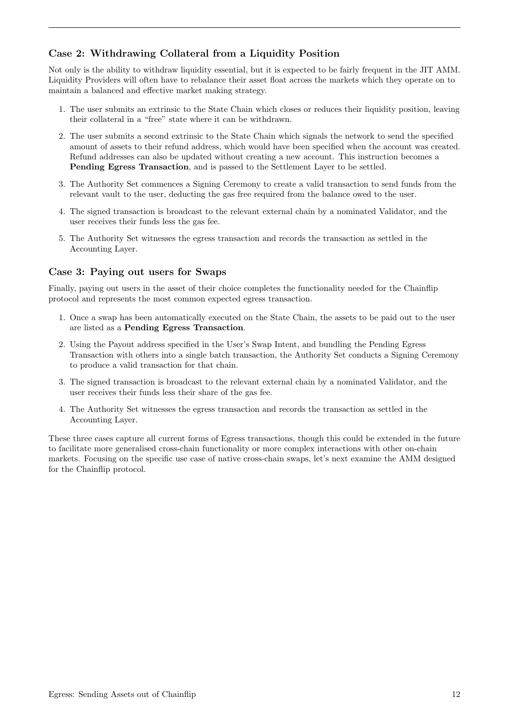# <span id="page-12-0"></span>Case 2: Withdrawing Collateral from a Liquidity Position

Not only is the ability to withdraw liquidity essential, but it is expected to be fairly frequent in the JIT AMM. Liquidity Providers will often have to rebalance their asset float across the markets which they operate on to maintain a balanced and effective market making strategy.

- 1. The user submits an extrinsic to the State Chain which closes or reduces their liquidity position, leaving their collateral in a "free" state where it can be withdrawn.
- 2. The user submits a second extrinsic to the State Chain which signals the network to send the specified amount of assets to their refund address, which would have been specified when the account was created. Refund addresses can also be updated without creating a new account. This instruction becomes a Pending Egress Transaction, and is passed to the Settlement Layer to be settled.
- 3. The Authority Set commences a Signing Ceremony to create a valid transaction to send funds from the relevant vault to the user, deducting the gas free required from the balance owed to the user.
- 4. The signed transaction is broadcast to the relevant external chain by a nominated Validator, and the user receives their funds less the gas fee.
- 5. The Authority Set witnesses the egress transaction and records the transaction as settled in the Accounting Layer.

#### <span id="page-12-1"></span>Case 3: Paying out users for Swaps

Finally, paying out users in the asset of their choice completes the functionality needed for the Chainflip protocol and represents the most common expected egress transaction.

- 1. Once a swap has been automatically executed on the State Chain, the assets to be paid out to the user are listed as a Pending Egress Transaction.
- 2. Using the Payout address specified in the User's Swap Intent, and bundling the Pending Egress Transaction with others into a single batch transaction, the Authority Set conducts a Signing Ceremony to produce a valid transaction for that chain.
- 3. The signed transaction is broadcast to the relevant external chain by a nominated Validator, and the user receives their funds less their share of the gas fee.
- 4. The Authority Set witnesses the egress transaction and records the transaction as settled in the Accounting Layer.

These three cases capture all current forms of Egress transactions, though this could be extended in the future to facilitate more generalised cross-chain functionality or more complex interactions with other on-chain markets. Focusing on the specific use case of native cross-chain swaps, let's next examine the AMM designed for the Chainflip protocol.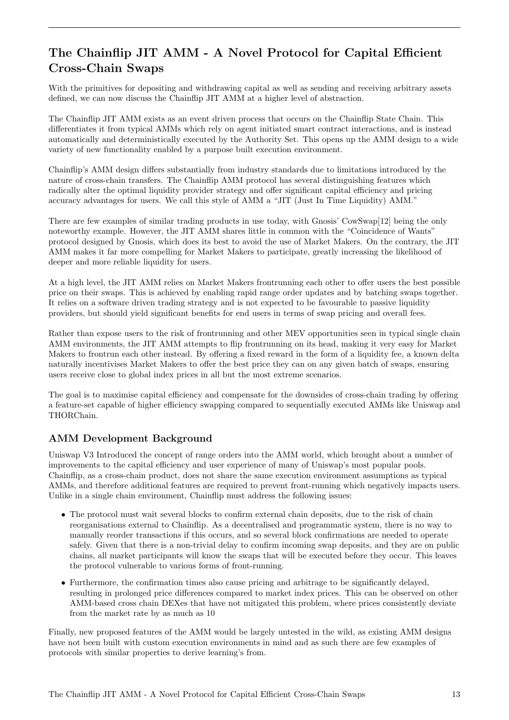# <span id="page-13-0"></span>The Chainflip JIT AMM - A Novel Protocol for Capital Efficient Cross-Chain Swaps

With the primitives for depositing and withdrawing capital as well as sending and receiving arbitrary assets defined, we can now discuss the Chainflip JIT AMM at a higher level of abstraction.

The Chainflip JIT AMM exists as an event driven process that occurs on the Chainflip State Chain. This differentiates it from typical AMMs which rely on agent initiated smart contract interactions, and is instead automatically and deterministically executed by the Authority Set. This opens up the AMM design to a wide variety of new functionality enabled by a purpose built execution environment.

Chainflip's AMM design differs substantially from industry standards due to limitations introduced by the nature of cross-chain transfers. The Chainflip AMM protocol has several distinguishing features which radically alter the optimal liquidity provider strategy and offer significant capital efficiency and pricing accuracy advantages for users. We call this style of AMM a "JIT (Just In Time Liquidity) AMM."

There are few examples of similar trading products in use today, with [Gnosis' CowSwap\[](https://docs.cow.fi/)[12\]](#page-34-11) being the only noteworthy example. However, the JIT AMM shares little in common with the "Coincidence of Wants" protocol designed by Gnosis, which does its best to avoid the use of Market Makers. On the contrary, the JIT AMM makes it far more compelling for Market Makers to participate, greatly increasing the likelihood of deeper and more reliable liquidity for users.

At a high level, the JIT AMM relies on Market Makers frontrunning each other to offer users the best possible price on their swaps. This is achieved by enabling rapid range order updates and by batching swaps together. It relies on a software driven trading strategy and is not expected to be favourable to passive liquidity providers, but should yield significant benefits for end users in terms of swap pricing and overall fees.

Rather than expose users to the risk of frontrunning and other MEV opportunities seen in typical single chain AMM environments, the JIT AMM attempts to flip frontrunning on its head, making it very easy for Market Makers to frontrun each other instead. By offering a fixed reward in the form of a liquidity fee, a known delta naturally incentivises Market Makers to offer the best price they can on any given batch of swaps, ensuring users receive close to global index prices in all but the most extreme scenarios.

The goal is to maximise capital efficiency and compensate for the downsides of cross-chain trading by offering a feature-set capable of higher efficiency swapping compared to sequentially executed AMMs like Uniswap and THORChain.

### <span id="page-13-1"></span>AMM Development Background

Uniswap V3 Introduced the concept of range orders into the AMM world, which brought about a number of improvements to the capital efficiency and user experience of many of Uniswap's most popular pools. Chainflip, as a cross-chain product, does not share the same execution environment assumptions as typical AMMs, and therefore additional features are required to prevent front-running which negatively impacts users. Unlike in a single chain environment, Chainflip must address the following issues:

- The protocol must wait several blocks to confirm external chain deposits, due to the risk of chain reorganisations external to Chainflip. As a decentralised and programmatic system, there is no way to manually reorder transactions if this occurs, and so several block confirmations are needed to operate safely. Given that there is a non-trivial delay to confirm incoming swap deposits, and they are on public chains, all market participants will know the swaps that will be executed before they occur. This leaves the protocol vulnerable to various forms of front-running.
- Furthermore, the confirmation times also cause pricing and arbitrage to be significantly delayed, resulting in prolonged price differences compared to market index prices. This can be observed on other AMM-based cross chain DEXes that have not mitigated this problem, where prices consistently deviate from the market rate by as much as 10

Finally, new proposed features of the AMM would be largely untested in the wild, as existing AMM designs have not been built with custom execution environments in mind and as such there are few examples of protocols with similar properties to derive learning's from.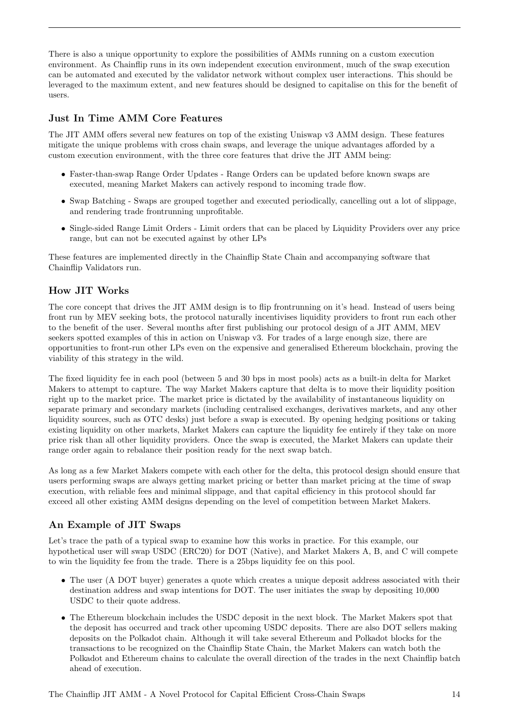There is also a unique opportunity to explore the possibilities of AMMs running on a custom execution environment. As Chainflip runs in its own independent execution environment, much of the swap execution can be automated and executed by the validator network without complex user interactions. This should be leveraged to the maximum extent, and new features should be designed to capitalise on this for the benefit of users.

### <span id="page-14-0"></span>Just In Time AMM Core Features

The JIT AMM offers several new features on top of the existing Uniswap v3 AMM design. These features mitigate the unique problems with cross chain swaps, and leverage the unique advantages afforded by a custom execution environment, with the three core features that drive the JIT AMM being:

- Faster-than-swap Range Order Updates Range Orders can be updated before known swaps are executed, meaning Market Makers can actively respond to incoming trade flow.
- Swap Batching Swaps are grouped together and executed periodically, cancelling out a lot of slippage, and rendering trade frontrunning unprofitable.
- Single-sided Range Limit Orders Limit orders that can be placed by Liquidity Providers over any price range, but can not be executed against by other LPs

These features are implemented directly in the Chainflip State Chain and accompanying software that Chainflip Validators run.

### <span id="page-14-1"></span>How JIT Works

The core concept that drives the JIT AMM design is to flip frontrunning on it's head. Instead of users being front run by MEV seeking bots, the protocol naturally incentivises liquidity providers to front run each other to the benefit of the user. Several months after first publishing our protocol design of a JIT AMM, MEV seekers spotted examples of this in action on Uniswap v3. For trades of a large enough size, there are opportunities to front-run other LPs even on the expensive and generalised Ethereum blockchain, proving the viability of this strategy in the wild.

The fixed liquidity fee in each pool (between 5 and 30 bps in most pools) acts as a built-in delta for Market Makers to attempt to capture. The way Market Makers capture that delta is to move their liquidity position right up to the market price. The market price is dictated by the availability of instantaneous liquidity on separate primary and secondary markets (including centralised exchanges, derivatives markets, and any other liquidity sources, such as OTC desks) just before a swap is executed. By opening hedging positions or taking existing liquidity on other markets, Market Makers can capture the liquidity fee entirely if they take on more price risk than all other liquidity providers. Once the swap is executed, the Market Makers can update their range order again to rebalance their position ready for the next swap batch.

As long as a few Market Makers compete with each other for the delta, this protocol design should ensure that users performing swaps are always getting market pricing or better than market pricing at the time of swap execution, with reliable fees and minimal slippage, and that capital efficiency in this protocol should far exceed all other existing AMM designs depending on the level of competition between Market Makers.

#### <span id="page-14-2"></span>An Example of JIT Swaps

Let's trace the path of a typical swap to examine how this works in practice. For this example, our hypothetical user will swap USDC (ERC20) for DOT (Native), and Market Makers A, B, and C will compete to win the liquidity fee from the trade. There is a 25bps liquidity fee on this pool.

- The user (A DOT buyer) generates a quote which creates a unique deposit address associated with their destination address and swap intentions for DOT. The user initiates the swap by depositing 10,000 USDC to their quote address.
- The Ethereum blockchain includes the USDC deposit in the next block. The Market Makers spot that the deposit has occurred and track other upcoming USDC deposits. There are also DOT sellers making deposits on the Polkadot chain. Although it will take several Ethereum and Polkadot blocks for the transactions to be recognized on the Chainflip State Chain, the Market Makers can watch both the Polkadot and Ethereum chains to calculate the overall direction of the trades in the next Chainflip batch ahead of execution.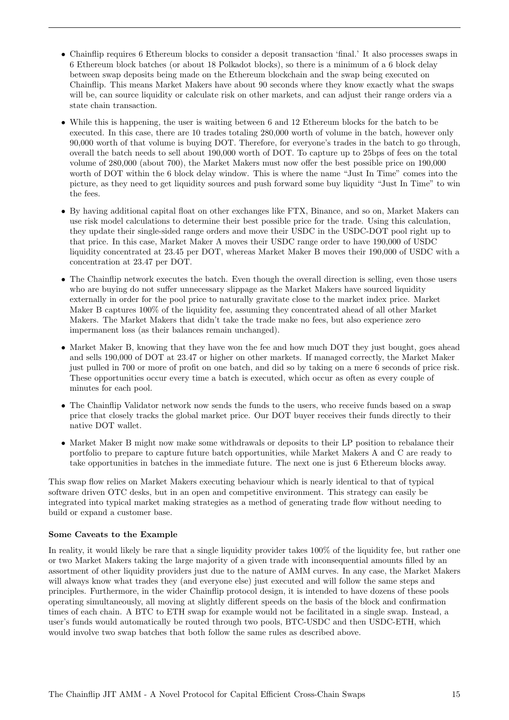- Chainflip requires 6 Ethereum blocks to consider a deposit transaction 'final.' It also processes swaps in 6 Ethereum block batches (or about 18 Polkadot blocks), so there is a minimum of a 6 block delay between swap deposits being made on the Ethereum blockchain and the swap being executed on Chainflip. This means Market Makers have about 90 seconds where they know exactly what the swaps will be, can source liquidity or calculate risk on other markets, and can adjust their range orders via a state chain transaction.
- While this is happening, the user is waiting between 6 and 12 Ethereum blocks for the batch to be executed. In this case, there are 10 trades totaling 280,000 worth of volume in the batch, however only 90,000 worth of that volume is buying DOT. Therefore, for everyone's trades in the batch to go through, overall the batch needs to sell about 190,000 worth of DOT. To capture up to 25bps of fees on the total volume of 280,000 (about 700), the Market Makers must now offer the best possible price on 190,000 worth of DOT within the 6 block delay window. This is where the name "Just In Time" comes into the picture, as they need to get liquidity sources and push forward some buy liquidity "Just In Time" to win the fees.
- By having additional capital float on other exchanges like FTX, Binance, and so on, Market Makers can use risk model calculations to determine their best possible price for the trade. Using this calculation, they update their single-sided range orders and move their USDC in the USDC-DOT pool right up to that price. In this case, Market Maker A moves their USDC range order to have 190,000 of USDC liquidity concentrated at 23.45 per DOT, whereas Market Maker B moves their 190,000 of USDC with a concentration at 23.47 per DOT.
- The Chainflip network executes the batch. Even though the overall direction is selling, even those users who are buying do not suffer unnecessary slippage as the Market Makers have sourced liquidity externally in order for the pool price to naturally gravitate close to the market index price. Market Maker B captures 100% of the liquidity fee, assuming they concentrated ahead of all other Market Makers. The Market Makers that didn't take the trade make no fees, but also experience zero impermanent loss (as their balances remain unchanged).
- Market Maker B, knowing that they have won the fee and how much DOT they just bought, goes ahead and sells 190,000 of DOT at 23.47 or higher on other markets. If managed correctly, the Market Maker just pulled in 700 or more of profit on one batch, and did so by taking on a mere 6 seconds of price risk. These opportunities occur every time a batch is executed, which occur as often as every couple of minutes for each pool.
- The Chainflip Validator network now sends the funds to the users, who receive funds based on a swap price that closely tracks the global market price. Our DOT buyer receives their funds directly to their native DOT wallet.
- Market Maker B might now make some withdrawals or deposits to their LP position to rebalance their portfolio to prepare to capture future batch opportunities, while Market Makers A and C are ready to take opportunities in batches in the immediate future. The next one is just 6 Ethereum blocks away.

This swap flow relies on Market Makers executing behaviour which is nearly identical to that of typical software driven OTC desks, but in an open and competitive environment. This strategy can easily be integrated into typical market making strategies as a method of generating trade flow without needing to build or expand a customer base.

#### <span id="page-15-0"></span>Some Caveats to the Example

In reality, it would likely be rare that a single liquidity provider takes 100% of the liquidity fee, but rather one or two Market Makers taking the large majority of a given trade with inconsequential amounts filled by an assortment of other liquidity providers just due to the nature of AMM curves. In any case, the Market Makers will always know what trades they (and everyone else) just executed and will follow the same steps and principles. Furthermore, in the wider Chainflip protocol design, it is intended to have dozens of these pools operating simultaneously, all moving at slightly different speeds on the basis of the block and confirmation times of each chain. A BTC to ETH swap for example would not be facilitated in a single swap. Instead, a user's funds would automatically be routed through two pools, BTC-USDC and then USDC-ETH, which would involve two swap batches that both follow the same rules as described above.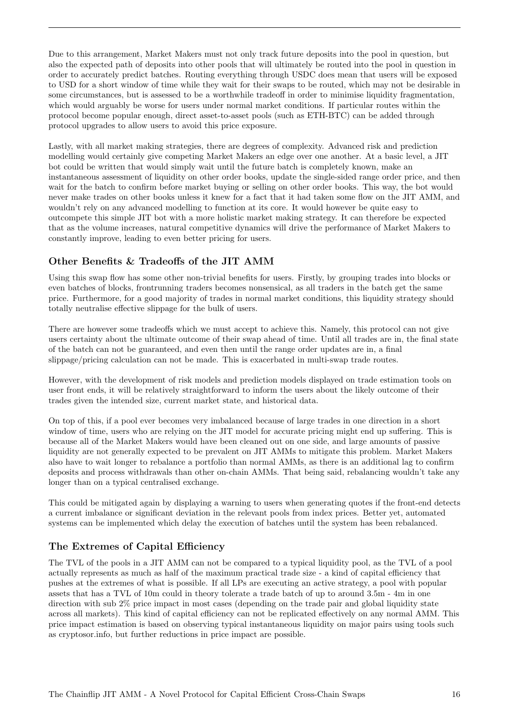Due to this arrangement, Market Makers must not only track future deposits into the pool in question, but also the expected path of deposits into other pools that will ultimately be routed into the pool in question in order to accurately predict batches. Routing everything through USDC does mean that users will be exposed to USD for a short window of time while they wait for their swaps to be routed, which may not be desirable in some circumstances, but is assessed to be a worthwhile tradeoff in order to minimise liquidity fragmentation, which would arguably be worse for users under normal market conditions. If particular routes within the protocol become popular enough, direct asset-to-asset pools (such as ETH-BTC) can be added through protocol upgrades to allow users to avoid this price exposure.

Lastly, with all market making strategies, there are degrees of complexity. Advanced risk and prediction modelling would certainly give competing Market Makers an edge over one another. At a basic level, a JIT bot could be written that would simply wait until the future batch is completely known, make an instantaneous assessment of liquidity on other order books, update the single-sided range order price, and then wait for the batch to confirm before market buying or selling on other order books. This way, the bot would never make trades on other books unless it knew for a fact that it had taken some flow on the JIT AMM, and wouldn't rely on any advanced modelling to function at its core. It would however be quite easy to outcompete this simple JIT bot with a more holistic market making strategy. It can therefore be expected that as the volume increases, natural competitive dynamics will drive the performance of Market Makers to constantly improve, leading to even better pricing for users.

#### <span id="page-16-0"></span>Other Benefits & Tradeoffs of the JIT AMM

Using this swap flow has some other non-trivial benefits for users. Firstly, by grouping trades into blocks or even batches of blocks, frontrunning traders becomes nonsensical, as all traders in the batch get the same price. Furthermore, for a good majority of trades in normal market conditions, this liquidity strategy should totally neutralise effective slippage for the bulk of users.

There are however some tradeoffs which we must accept to achieve this. Namely, this protocol can not give users certainty about the ultimate outcome of their swap ahead of time. Until all trades are in, the final state of the batch can not be guaranteed, and even then until the range order updates are in, a final slippage/pricing calculation can not be made. This is exacerbated in multi-swap trade routes.

However, with the development of risk models and prediction models displayed on trade estimation tools on user front ends, it will be relatively straightforward to inform the users about the likely outcome of their trades given the intended size, current market state, and historical data.

On top of this, if a pool ever becomes very imbalanced because of large trades in one direction in a short window of time, users who are relying on the JIT model for accurate pricing might end up suffering. This is because all of the Market Makers would have been cleaned out on one side, and large amounts of passive liquidity are not generally expected to be prevalent on JIT AMMs to mitigate this problem. Market Makers also have to wait longer to rebalance a portfolio than normal AMMs, as there is an additional lag to confirm deposits and process withdrawals than other on-chain AMMs. That being said, rebalancing wouldn't take any longer than on a typical centralised exchange.

This could be mitigated again by displaying a warning to users when generating quotes if the front-end detects a current imbalance or significant deviation in the relevant pools from index prices. Better yet, automated systems can be implemented which delay the execution of batches until the system has been rebalanced.

### <span id="page-16-1"></span>The Extremes of Capital Efficiency

The TVL of the pools in a JIT AMM can not be compared to a typical liquidity pool, as the TVL of a pool actually represents as much as half of the maximum practical trade size - a kind of capital efficiency that pushes at the extremes of what is possible. If all LPs are executing an active strategy, a pool with popular assets that has a TVL of 10m could in theory tolerate a trade batch of up to around 3.5m - 4m in one direction with sub 2% price impact in most cases (depending on the trade pair and global liquidity state across all markets). This kind of capital efficiency can not be replicated effectively on any normal AMM. This price impact estimation is based on observing typical instantaneous liquidity on major pairs using tools such as cryptosor.info, but further reductions in price impact are possible.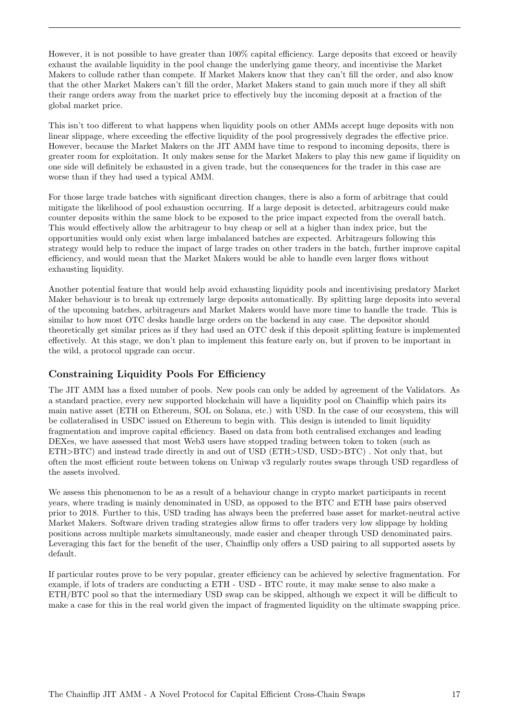However, it is not possible to have greater than 100% capital efficiency. Large deposits that exceed or heavily exhaust the available liquidity in the pool change the underlying game theory, and incentivise the Market Makers to collude rather than compete. If Market Makers know that they can't fill the order, and also know that the other Market Makers can't fill the order, Market Makers stand to gain much more if they all shift their range orders away from the market price to effectively buy the incoming deposit at a fraction of the global market price.

This isn't too different to what happens when liquidity pools on other AMMs accept huge deposits with non linear slippage, where exceeding the effective liquidity of the pool progressively degrades the effective price. However, because the Market Makers on the JIT AMM have time to respond to incoming deposits, there is greater room for exploitation. It only makes sense for the Market Makers to play this new game if liquidity on one side will definitely be exhausted in a given trade, but the consequences for the trader in this case are worse than if they had used a typical AMM.

For those large trade batches with significant direction changes, there is also a form of arbitrage that could mitigate the likelihood of pool exhaustion occurring. If a large deposit is detected, arbitrageurs could make counter deposits within the same block to be exposed to the price impact expected from the overall batch. This would effectively allow the arbitrageur to buy cheap or sell at a higher than index price, but the opportunities would only exist when large imbalanced batches are expected. Arbitrageurs following this strategy would help to reduce the impact of large trades on other traders in the batch, further improve capital efficiency, and would mean that the Market Makers would be able to handle even larger flows without exhausting liquidity.

Another potential feature that would help avoid exhausting liquidity pools and incentivising predatory Market Maker behaviour is to break up extremely large deposits automatically. By splitting large deposits into several of the upcoming batches, arbitrageurs and Market Makers would have more time to handle the trade. This is similar to how most OTC desks handle large orders on the backend in any case. The depositor should theoretically get similar prices as if they had used an OTC desk if this deposit splitting feature is implemented effectively. At this stage, we don't plan to implement this feature early on, but if proven to be important in the wild, a protocol upgrade can occur.

#### <span id="page-17-0"></span>Constraining Liquidity Pools For Efficiency

The JIT AMM has a fixed number of pools. New pools can only be added by agreement of the Validators. As a standard practice, every new supported blockchain will have a liquidity pool on Chainflip which pairs its main native asset (ETH on Ethereum, SOL on Solana, etc.) with USD. In the case of our ecosystem, this will be collateralised in USDC issued on Ethereum to begin with. This design is intended to limit liquidity fragmentation and improve capital efficiency. Based on data from both centralised exchanges and leading DEXes, we have assessed that most Web3 users have stopped trading between token to token (such as ETH>BTC) and instead trade directly in and out of USD (ETH>USD, USD>BTC) . Not only that, but often the most efficient route between tokens on Uniwap v3 regularly routes swaps through USD regardless of the assets involved.

We assess this phenomenon to be as a result of a behaviour change in crypto market participants in recent years, where trading is mainly denominated in USD, as opposed to the BTC and ETH base pairs observed prior to 2018. Further to this, USD trading has always been the preferred base asset for market-neutral active Market Makers. Software driven trading strategies allow firms to offer traders very low slippage by holding positions across multiple markets simultaneously, made easier and cheaper through USD denominated pairs. Leveraging this fact for the benefit of the user, Chainflip only offers a USD pairing to all supported assets by default.

If particular routes prove to be very popular, greater efficiency can be achieved by selective fragmentation. For example, if lots of traders are conducting a ETH - USD - BTC route, it may make sense to also make a ETH/BTC pool so that the intermediary USD swap can be skipped, although we expect it will be difficult to make a case for this in the real world given the impact of fragmented liquidity on the ultimate swapping price.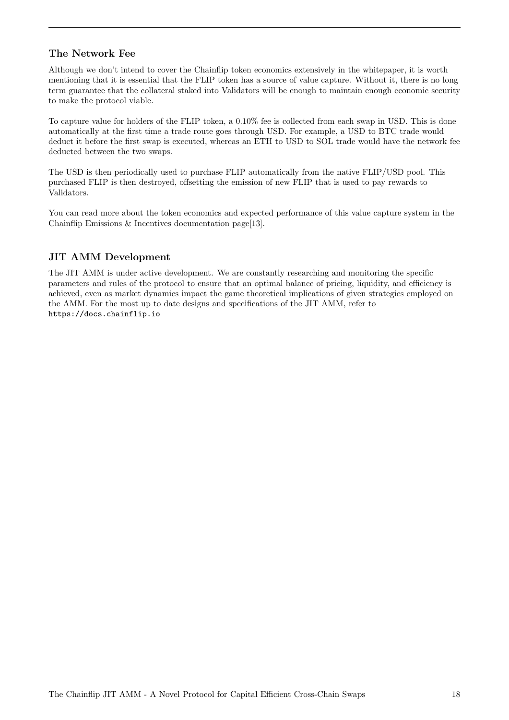### <span id="page-18-0"></span>The Network Fee

Although we don't intend to cover the Chainflip token economics extensively in the whitepaper, it is worth mentioning that it is essential that the FLIP token has a source of value capture. Without it, there is no long term guarantee that the collateral staked into Validators will be enough to maintain enough economic security to make the protocol viable.

To capture value for holders of the FLIP token, a 0.10% fee is collected from each swap in USD. This is done automatically at the first time a trade route goes through USD. For example, a USD to BTC trade would deduct it before the first swap is executed, whereas an ETH to USD to SOL trade would have the network fee deducted between the two swaps.

The USD is then periodically used to purchase FLIP automatically from the native FLIP/USD pool. This purchased FLIP is then destroyed, offsetting the emission of new FLIP that is used to pay rewards to Validators.

You can read more about the token economics and expected performance of this value capture system in the [Chainflip Emissions & Incentives documentation page\[](https://docs.chainflip.io/concepts/components/emission-and-incentive-design)[13\]](#page-34-12).

### JIT AMM Development

The JIT AMM is under active development. We are constantly researching and monitoring the specific parameters and rules of the protocol to ensure that an optimal balance of pricing, liquidity, and efficiency is achieved, even as market dynamics impact the game theoretical implications of given strategies employed on the AMM. For the most up to date designs and specifications of the JIT AMM, refer to <https://docs.chainflip.io>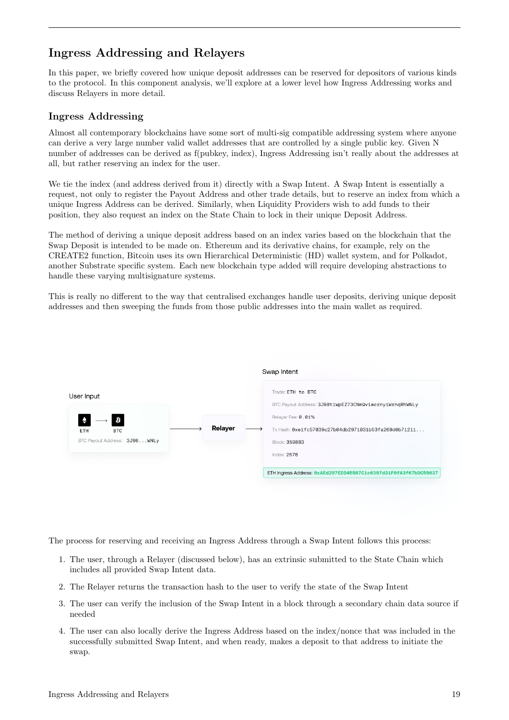# <span id="page-19-0"></span>Ingress Addressing and Relayers

In this paper, we briefly covered how unique deposit addresses can be reserved for depositors of various kinds to the protocol. In this component analysis, we'll explore at a lower level how Ingress Addressing works and discuss Relayers in more detail.

#### <span id="page-19-1"></span>Ingress Addressing

Almost all contemporary blockchains have some sort of multi-sig compatible addressing system where anyone can derive a very large number valid wallet addresses that are controlled by a single public key. Given N number of addresses can be derived as f(pubkey, index), Ingress Addressing isn't really about the addresses at all, but rather reserving an index for the user.

We tie the index (and address derived from it) directly with a Swap Intent. A Swap Intent is essentially a request, not only to register the Payout Address and other trade details, but to reserve an index from which a unique Ingress Address can be derived. Similarly, when Liquidity Providers wish to add funds to their position, they also request an index on the State Chain to lock in their unique Deposit Address.

The method of deriving a unique deposit address based on an index varies based on the blockchain that the Swap Deposit is intended to be made on. Ethereum and its derivative chains, for example, rely on the CREATE2 function, Bitcoin uses its own Hierarchical Deterministic (HD) wallet system, and for Polkadot, another Substrate specific system. Each new blockchain type added will require developing abstractions to handle these varying multisignature systems.

This is really no different to the way that centralised exchanges handle user deposits, deriving unique deposit addresses and then sweeping the funds from those public addresses into the main wallet as required.



The process for reserving and receiving an Ingress Address through a Swap Intent follows this process:

- 1. The user, through a Relayer (discussed below), has an extrinsic submitted to the State Chain which includes all provided Swap Intent data.
- 2. The Relayer returns the transaction hash to the user to verify the state of the Swap Intent
- 3. The user can verify the inclusion of the Swap Intent in a block through a secondary chain data source if needed
- 4. The user can also locally derive the Ingress Address based on the index/nonce that was included in the successfully submitted Swap Intent, and when ready, makes a deposit to that address to initiate the swap.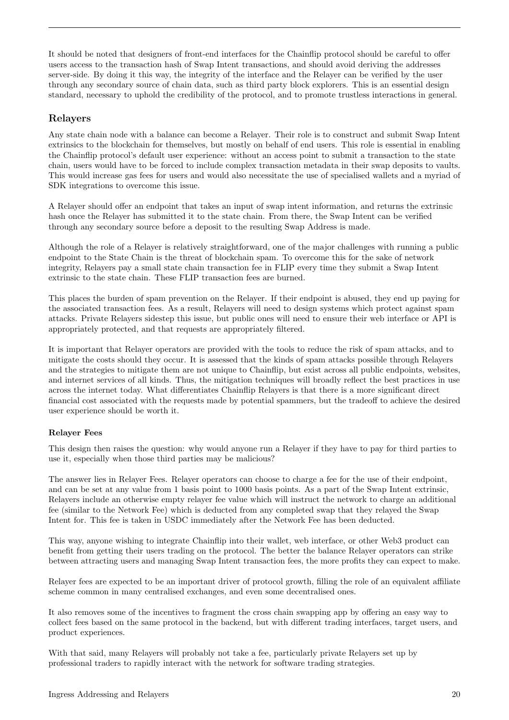It should be noted that designers of front-end interfaces for the Chainflip protocol should be careful to offer users access to the transaction hash of Swap Intent transactions, and should avoid deriving the addresses server-side. By doing it this way, the integrity of the interface and the Relayer can be verified by the user through any secondary source of chain data, such as third party block explorers. This is an essential design standard, necessary to uphold the credibility of the protocol, and to promote trustless interactions in general.

#### <span id="page-20-0"></span>Relayers

Any state chain node with a balance can become a Relayer. Their role is to construct and submit Swap Intent extrinsics to the blockchain for themselves, but mostly on behalf of end users. This role is essential in enabling the Chainflip protocol's default user experience: without an access point to submit a transaction to the state chain, users would have to be forced to include complex transaction metadata in their swap deposits to vaults. This would increase gas fees for users and would also necessitate the use of specialised wallets and a myriad of SDK integrations to overcome this issue.

A Relayer should offer an endpoint that takes an input of swap intent information, and returns the extrinsic hash once the Relayer has submitted it to the state chain. From there, the Swap Intent can be verified through any secondary source before a deposit to the resulting Swap Address is made.

Although the role of a Relayer is relatively straightforward, one of the major challenges with running a public endpoint to the State Chain is the threat of blockchain spam. To overcome this for the sake of network integrity, Relayers pay a small state chain transaction fee in FLIP every time they submit a Swap Intent extrinsic to the state chain. These FLIP transaction fees are burned.

This places the burden of spam prevention on the Relayer. If their endpoint is abused, they end up paying for the associated transaction fees. As a result, Relayers will need to design systems which protect against spam attacks. Private Relayers sidestep this issue, but public ones will need to ensure their web interface or API is appropriately protected, and that requests are appropriately filtered.

It is important that Relayer operators are provided with the tools to reduce the risk of spam attacks, and to mitigate the costs should they occur. It is assessed that the kinds of spam attacks possible through Relayers and the strategies to mitigate them are not unique to Chainflip, but exist across all public endpoints, websites, and internet services of all kinds. Thus, the mitigation techniques will broadly reflect the best practices in use across the internet today. What differentiates Chainflip Relayers is that there is a more significant direct financial cost associated with the requests made by potential spammers, but the tradeoff to achieve the desired user experience should be worth it.

#### <span id="page-20-1"></span>Relayer Fees

This design then raises the question: why would anyone run a Relayer if they have to pay for third parties to use it, especially when those third parties may be malicious?

The answer lies in Relayer Fees. Relayer operators can choose to charge a fee for the use of their endpoint, and can be set at any value from 1 basis point to 1000 basis points. As a part of the Swap Intent extrinsic, Relayers include an otherwise empty relayer fee value which will instruct the network to charge an additional fee (similar to the Network Fee) which is deducted from any completed swap that they relayed the Swap Intent for. This fee is taken in USDC immediately after the Network Fee has been deducted.

This way, anyone wishing to integrate Chainflip into their wallet, web interface, or other Web3 product can benefit from getting their users trading on the protocol. The better the balance Relayer operators can strike between attracting users and managing Swap Intent transaction fees, the more profits they can expect to make.

Relayer fees are expected to be an important driver of protocol growth, filling the role of an equivalent affiliate scheme common in many centralised exchanges, and even some decentralised ones.

It also removes some of the incentives to fragment the cross chain swapping app by offering an easy way to collect fees based on the same protocol in the backend, but with different trading interfaces, target users, and product experiences.

With that said, many Relayers will probably not take a fee, particularly private Relayers set up by professional traders to rapidly interact with the network for software trading strategies.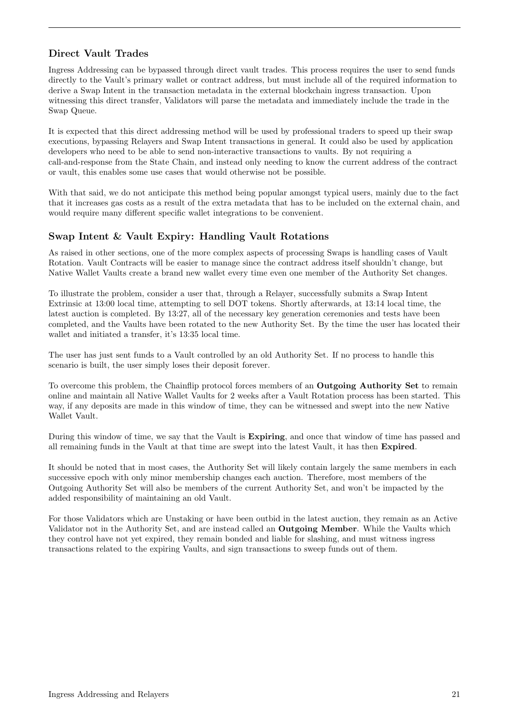### <span id="page-21-0"></span>Direct Vault Trades

Ingress Addressing can be bypassed through direct vault trades. This process requires the user to send funds directly to the Vault's primary wallet or contract address, but must include all of the required information to derive a Swap Intent in the transaction metadata in the external blockchain ingress transaction. Upon witnessing this direct transfer, Validators will parse the metadata and immediately include the trade in the Swap Queue.

It is expected that this direct addressing method will be used by professional traders to speed up their swap executions, bypassing Relayers and Swap Intent transactions in general. It could also be used by application developers who need to be able to send non-interactive transactions to vaults. By not requiring a call-and-response from the State Chain, and instead only needing to know the current address of the contract or vault, this enables some use cases that would otherwise not be possible.

With that said, we do not anticipate this method being popular amongst typical users, mainly due to the fact that it increases gas costs as a result of the extra metadata that has to be included on the external chain, and would require many different specific wallet integrations to be convenient.

### <span id="page-21-1"></span>Swap Intent & Vault Expiry: Handling Vault Rotations

As raised in other sections, one of the more complex aspects of processing Swaps is handling cases of Vault Rotation. Vault Contracts will be easier to manage since the contract address itself shouldn't change, but Native Wallet Vaults create a brand new wallet every time even one member of the Authority Set changes.

To illustrate the problem, consider a user that, through a Relayer, successfully submits a Swap Intent Extrinsic at 13:00 local time, attempting to sell DOT tokens. Shortly afterwards, at 13:14 local time, the latest auction is completed. By 13:27, all of the necessary key generation ceremonies and tests have been completed, and the Vaults have been rotated to the new Authority Set. By the time the user has located their wallet and initiated a transfer, it's 13:35 local time.

The user has just sent funds to a Vault controlled by an old Authority Set. If no process to handle this scenario is built, the user simply loses their deposit forever.

To overcome this problem, the Chainflip protocol forces members of an Outgoing Authority Set to remain online and maintain all Native Wallet Vaults for 2 weeks after a Vault Rotation process has been started. This way, if any deposits are made in this window of time, they can be witnessed and swept into the new Native Wallet Vault.

During this window of time, we say that the Vault is Expiring, and once that window of time has passed and all remaining funds in the Vault at that time are swept into the latest Vault, it has then Expired.

It should be noted that in most cases, the Authority Set will likely contain largely the same members in each successive epoch with only minor membership changes each auction. Therefore, most members of the Outgoing Authority Set will also be members of the current Authority Set, and won't be impacted by the added responsibility of maintaining an old Vault.

For those Validators which are Unstaking or have been outbid in the latest auction, they remain as an Active Validator not in the Authority Set, and are instead called an Outgoing Member. While the Vaults which they control have not yet expired, they remain bonded and liable for slashing, and must witness ingress transactions related to the expiring Vaults, and sign transactions to sweep funds out of them.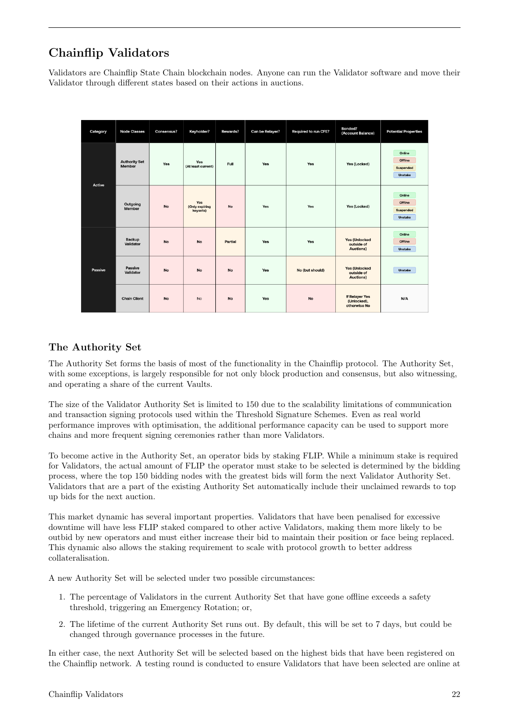# <span id="page-22-0"></span>Chainflip Validators

Validators are Chainflip State Chain blockchain nodes. Anyone can run the Validator software and move their Validator through different states based on their actions in auctions.

| Category | <b>Node Classes</b>            | <b>Consensus?</b> | Keyholder?                        | <b>Rewards?</b> | Can be Relayer? | Required to run CFE? | <b>Bonded?</b><br>(Account Balance)             | <b>Potential Properties</b>               |
|----------|--------------------------------|-------------------|-----------------------------------|-----------------|-----------------|----------------------|-------------------------------------------------|-------------------------------------------|
| Active   | <b>Authority Set</b><br>Member | Yes               | Yes<br>(At least current)         | Full            | Yes             | Yes                  | Yes (Locked)                                    | Online<br>Offline<br>Suspended<br>Unstake |
|          | Outgoing<br>Member             | No                | Yes<br>(Only expiring<br>keysets) | No              | Yes             | Yes                  | Yes (Locked)                                    | Online<br>Offline<br>Suspended<br>Unstake |
| Passive  | Backup<br>Validator            | <b>No</b>         | No                                | Partial         | Yes             | Yes                  | <b>Yes (Unlocked</b><br>outside of<br>Auctions) | Online<br>Offline<br>Unstake              |
|          | Passive<br>Validator           | <b>No</b>         | <b>No</b>                         | <b>No</b>       | Yes             | No (but should)      | <b>Yes (Unlocked</b><br>outside of<br>Auctions) | Unstake                                   |
|          | <b>Chain Client</b>            | <b>No</b>         | <b>No</b>                         | No              | Yes             | <b>No</b>            | If Relayer Yes<br>(Unlocked),<br>otherwise No   | N/A                                       |

### <span id="page-22-1"></span>The Authority Set

The Authority Set forms the basis of most of the functionality in the Chainflip protocol. The Authority Set, with some exceptions, is largely responsible for not only block production and consensus, but also witnessing, and operating a share of the current Vaults.

The size of the Validator Authority Set is limited to 150 due to the scalability limitations of communication and transaction signing protocols used within the Threshold Signature Schemes. Even as real world performance improves with optimisation, the additional performance capacity can be used to support more chains and more frequent signing ceremonies rather than more Validators.

To become active in the Authority Set, an operator bids by staking FLIP. While a minimum stake is required for Validators, the actual amount of FLIP the operator must stake to be selected is determined by the bidding process, where the top 150 bidding nodes with the greatest bids will form the next Validator Authority Set. Validators that are a part of the existing Authority Set automatically include their unclaimed rewards to top up bids for the next auction.

This market dynamic has several important properties. Validators that have been penalised for excessive downtime will have less FLIP staked compared to other active Validators, making them more likely to be outbid by new operators and must either increase their bid to maintain their position or face being replaced. This dynamic also allows the staking requirement to scale with protocol growth to better address collateralisation.

A new Authority Set will be selected under two possible circumstances:

- 1. The percentage of Validators in the current Authority Set that have gone offline exceeds a safety threshold, triggering an Emergency Rotation; or,
- 2. The lifetime of the current Authority Set runs out. By default, this will be set to 7 days, but could be changed through governance processes in the future.

In either case, the next Authority Set will be selected based on the highest bids that have been registered on the Chainflip network. A testing round is conducted to ensure Validators that have been selected are online at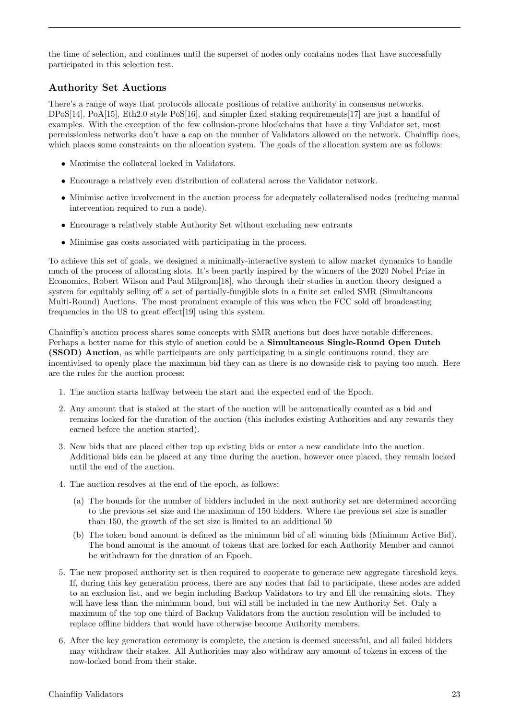the time of selection, and continues until the superset of nodes only contains nodes that have successfully participated in this selection test.

#### <span id="page-23-0"></span>Authority Set Auctions

There's a range of ways that protocols allocate positions of relative authority in consensus networks. [DPoS](https://en.bitcoinwiki.org/wiki/DPoS)[\[14\]](#page-34-13), [PoA\[](https://en.wikipedia.org/wiki/Proof_of_authority)[15\]](#page-34-14), [Eth2.0 style PoS\[](https://ethereum.org/en/developers/docs/consensus-mechanisms/pos/)[16\]](#page-34-15), and [simpler fixed staking requirements\[](https://docs.oxen.io/about-the-oxen-blockchain/oxen-service-nodes)[17\]](#page-34-16) are just a handful of examples. With the exception of the few collusion-prone blockchains that have a tiny Validator set, most permissionless networks don't have a cap on the number of Validators allowed on the network. Chainflip does, which places some constraints on the allocation system. The goals of the allocation system are as follows:

- Maximise the collateral locked in Validators.
- Encourage a relatively even distribution of collateral across the Validator network.
- Minimise active involvement in the auction process for adequately collateralised nodes (reducing manual intervention required to run a node).
- Encourage a relatively stable Authority Set without excluding new entrants
- Minimise gas costs associated with participating in the process.

To achieve this set of goals, we designed a minimally-interactive system to allow market dynamics to handle much of the process of allocating slots. It's been partly inspired by the winners of the [2020 Nobel Prize in](https://www.nobelprize.org/prizes/economic-sciences/2020/press-release/) [Economics, Robert Wilson and Paul Milgrom](https://www.nobelprize.org/prizes/economic-sciences/2020/press-release/)[\[18\]](#page-34-17), who through their studies in auction theory designed a system for equitably selling off a set of partially-fungible slots in a finite set called SMR (Simultaneous Multi-Round) Auctions. The most prominent example of this was when the [FCC sold off broadcasting](https://www.fcc.gov/auctions/auction-designs) [frequencies in the US to great effect](https://www.fcc.gov/auctions/auction-designs)[\[19\]](#page-34-18) using this system.

Chainflip's auction process shares some concepts with SMR auctions but does have notable differences. Perhaps a better name for this style of auction could be a Simultaneous Single-Round Open Dutch (SSOD) Auction, as while participants are only participating in a single continuous round, they are incentivised to openly place the maximum bid they can as there is no downside risk to paying too much. Here are the rules for the auction process:

- 1. The auction starts halfway between the start and the expected end of the Epoch.
- 2. Any amount that is staked at the start of the auction will be automatically counted as a bid and remains locked for the duration of the auction (this includes existing Authorities and any rewards they earned before the auction started).
- 3. New bids that are placed either top up existing bids or enter a new candidate into the auction. Additional bids can be placed at any time during the auction, however once placed, they remain locked until the end of the auction.
- 4. The auction resolves at the end of the epoch, as follows:
	- (a) The bounds for the number of bidders included in the next authority set are determined according to the previous set size and the maximum of 150 bidders. Where the previous set size is smaller than 150, the growth of the set size is limited to an additional 50
	- (b) The token bond amount is defined as the minimum bid of all winning bids (Minimum Active Bid). The bond amount is the amount of tokens that are locked for each Authority Member and cannot be withdrawn for the duration of an Epoch.
- 5. The new proposed authority set is then required to cooperate to generate new aggregate threshold keys. If, during this key generation process, there are any nodes that fail to participate, these nodes are added to an exclusion list, and we begin including Backup Validators to try and fill the remaining slots. They will have less than the minimum bond, but will still be included in the new Authority Set. Only a maximum of the top one third of Backup Validators from the auction resolution will be included to replace offline bidders that would have otherwise become Authority members.
- 6. After the key generation ceremony is complete, the auction is deemed successful, and all failed bidders may withdraw their stakes. All Authorities may also withdraw any amount of tokens in excess of the now-locked bond from their stake.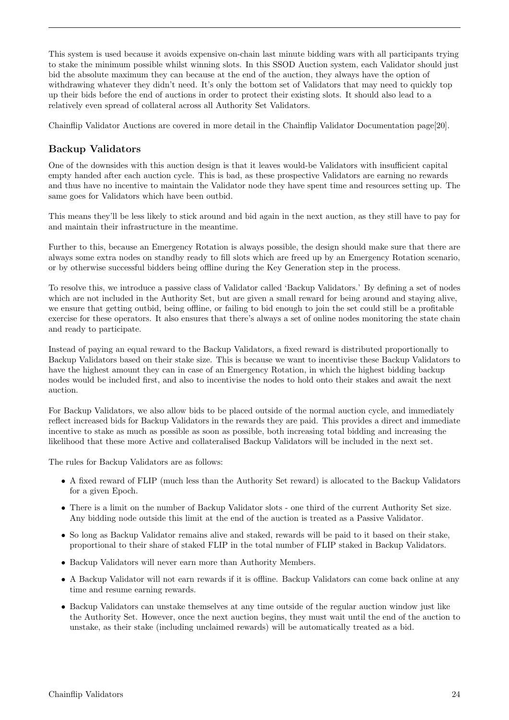This system is used because it avoids expensive on-chain last minute bidding wars with all participants trying to stake the minimum possible whilst winning slots. In this SSOD Auction system, each Validator should just bid the absolute maximum they can because at the end of the auction, they always have the option of withdrawing whatever they didn't need. It's only the bottom set of Validators that may need to quickly top up their bids before the end of auctions in order to protect their existing slots. It should also lead to a relatively even spread of collateral across all Authority Set Validators.

Chainflip Validator Auctions are covered in more detail in the [Chainflip Validator Documentation page\[](https://docs.chainflip.io/concepts/components/validators-and-auctions-ssod)[20\]](#page-34-19).

#### <span id="page-24-0"></span>Backup Validators

One of the downsides with this auction design is that it leaves would-be Validators with insufficient capital empty handed after each auction cycle. This is bad, as these prospective Validators are earning no rewards and thus have no incentive to maintain the Validator node they have spent time and resources setting up. The same goes for Validators which have been outbid.

This means they'll be less likely to stick around and bid again in the next auction, as they still have to pay for and maintain their infrastructure in the meantime.

Further to this, because an Emergency Rotation is always possible, the design should make sure that there are always some extra nodes on standby ready to fill slots which are freed up by an Emergency Rotation scenario, or by otherwise successful bidders being offline during the Key Generation step in the process.

To resolve this, we introduce a passive class of Validator called 'Backup Validators.' By defining a set of nodes which are not included in the Authority Set, but are given a small reward for being around and staying alive, we ensure that getting outbid, being offline, or failing to bid enough to join the set could still be a profitable exercise for these operators. It also ensures that there's always a set of online nodes monitoring the state chain and ready to participate.

Instead of paying an equal reward to the Backup Validators, a fixed reward is distributed proportionally to Backup Validators based on their stake size. This is because we want to incentivise these Backup Validators to have the highest amount they can in case of an Emergency Rotation, in which the highest bidding backup nodes would be included first, and also to incentivise the nodes to hold onto their stakes and await the next auction.

For Backup Validators, we also allow bids to be placed outside of the normal auction cycle, and immediately reflect increased bids for Backup Validators in the rewards they are paid. This provides a direct and immediate incentive to stake as much as possible as soon as possible, both increasing total bidding and increasing the likelihood that these more Active and collateralised Backup Validators will be included in the next set.

The rules for Backup Validators are as follows:

- A fixed reward of FLIP (much less than the Authority Set reward) is allocated to the Backup Validators for a given Epoch.
- There is a limit on the number of Backup Validator slots one third of the current Authority Set size. Any bidding node outside this limit at the end of the auction is treated as a Passive Validator.
- So long as Backup Validator remains alive and staked, rewards will be paid to it based on their stake, proportional to their share of staked FLIP in the total number of FLIP staked in Backup Validators.
- Backup Validators will never earn more than Authority Members.
- A Backup Validator will not earn rewards if it is offline. Backup Validators can come back online at any time and resume earning rewards.
- Backup Validators can unstake themselves at any time outside of the regular auction window just like the Authority Set. However, once the next auction begins, they must wait until the end of the auction to unstake, as their stake (including unclaimed rewards) will be automatically treated as a bid.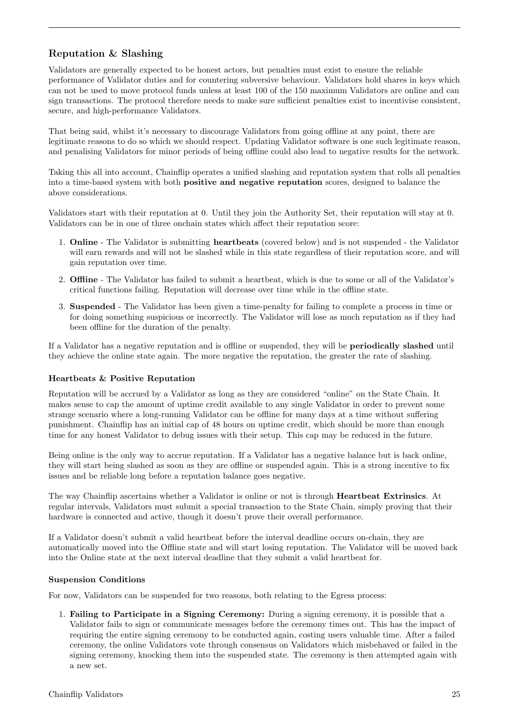# <span id="page-25-0"></span>Reputation & Slashing

Validators are generally expected to be honest actors, but penalties must exist to ensure the reliable performance of Validator duties and for countering subversive behaviour. Validators hold shares in keys which can not be used to move protocol funds unless at least 100 of the 150 maximum Validators are online and can sign transactions. The protocol therefore needs to make sure sufficient penalties exist to incentivise consistent, secure, and high-performance Validators.

That being said, whilst it's necessary to discourage Validators from going offline at any point, there are legitimate reasons to do so which we should respect. Updating Validator software is one such legitimate reason, and penalising Validators for minor periods of being offline could also lead to negative results for the network.

Taking this all into account, Chainflip operates a unified slashing and reputation system that rolls all penalties into a time-based system with both positive and negative reputation scores, designed to balance the above considerations.

Validators start with their reputation at 0. Until they join the Authority Set, their reputation will stay at 0. Validators can be in one of three onchain states which affect their reputation score:

- 1. Online The Validator is submitting heartbeats (covered below) and is not suspended the Validator will earn rewards and will not be slashed while in this state regardless of their reputation score, and will gain reputation over time.
- 2. Offline The Validator has failed to submit a heartbeat, which is due to some or all of the Validator's critical functions failing. Reputation will decrease over time while in the offline state.
- 3. Suspended The Validator has been given a time-penalty for failing to complete a process in time or for doing something suspicious or incorrectly. The Validator will lose as much reputation as if they had been offline for the duration of the penalty.

If a Validator has a negative reputation and is offline or suspended, they will be periodically slashed until they achieve the online state again. The more negative the reputation, the greater the rate of slashing.

#### <span id="page-25-1"></span>Heartbeats & Positive Reputation

Reputation will be accrued by a Validator as long as they are considered "online" on the State Chain. It makes sense to cap the amount of uptime credit available to any single Validator in order to prevent some strange scenario where a long-running Validator can be offline for many days at a time without suffering punishment. Chainflip has an initial cap of 48 hours on uptime credit, which should be more than enough time for any honest Validator to debug issues with their setup. This cap may be reduced in the future.

Being online is the only way to accrue reputation. If a Validator has a negative balance but is back online, they will start being slashed as soon as they are offline or suspended again. This is a strong incentive to fix issues and be reliable long before a reputation balance goes negative.

The way Chainflip ascertains whether a Validator is online or not is through Heartbeat Extrinsics. At regular intervals, Validators must submit a special transaction to the State Chain, simply proving that their hardware is connected and active, though it doesn't prove their overall performance.

If a Validator doesn't submit a valid heartbeat before the interval deadline occurs on-chain, they are automatically moved into the Offline state and will start losing reputation. The Validator will be moved back into the Online state at the next interval deadline that they submit a valid heartbeat for.

#### <span id="page-25-2"></span>Suspension Conditions

For now, Validators can be suspended for two reasons, both relating to the Egress process:

1. Failing to Participate in a Signing Ceremony: During a signing ceremony, it is possible that a Validator fails to sign or communicate messages before the ceremony times out. This has the impact of requiring the entire signing ceremony to be conducted again, costing users valuable time. After a failed ceremony, the online Validators vote through consensus on Validators which misbehaved or failed in the signing ceremony, knocking them into the suspended state. The ceremony is then attempted again with a new set.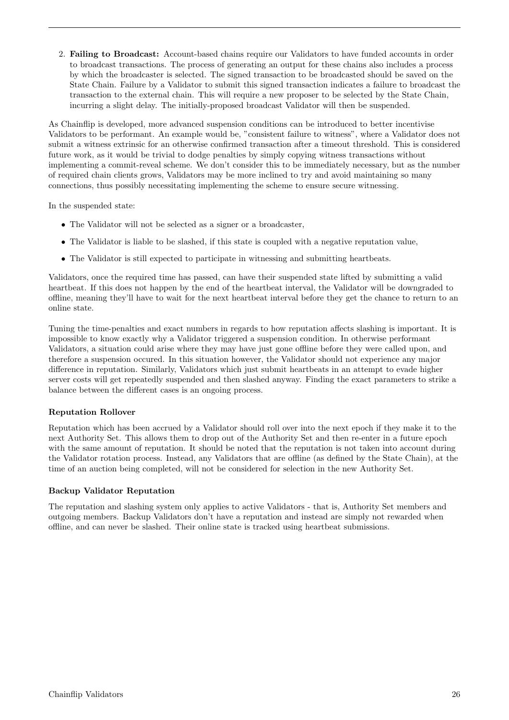2. Failing to Broadcast: Account-based chains require our Validators to have funded accounts in order to broadcast transactions. The process of generating an output for these chains also includes a process by which the broadcaster is selected. The signed transaction to be broadcasted should be saved on the State Chain. Failure by a Validator to submit this signed transaction indicates a failure to broadcast the transaction to the external chain. This will require a new proposer to be selected by the State Chain, incurring a slight delay. The initially-proposed broadcast Validator will then be suspended.

As Chainflip is developed, more advanced suspension conditions can be introduced to better incentivise Validators to be performant. An example would be, "consistent failure to witness", where a Validator does not submit a witness extrinsic for an otherwise confirmed transaction after a timeout threshold. This is considered future work, as it would be trivial to dodge penalties by simply copying witness transactions without implementing a commit-reveal scheme. We don't consider this to be immediately necessary, but as the number of required chain clients grows, Validators may be more inclined to try and avoid maintaining so many connections, thus possibly necessitating implementing the scheme to ensure secure witnessing.

In the suspended state:

- The Validator will not be selected as a signer or a broadcaster,
- The Validator is liable to be slashed, if this state is coupled with a negative reputation value,
- The Validator is still expected to participate in witnessing and submitting heartbeats.

Validators, once the required time has passed, can have their suspended state lifted by submitting a valid heartbeat. If this does not happen by the end of the heartbeat interval, the Validator will be downgraded to offline, meaning they'll have to wait for the next heartbeat interval before they get the chance to return to an online state.

Tuning the time-penalties and exact numbers in regards to how reputation affects slashing is important. It is impossible to know exactly why a Validator triggered a suspension condition. In otherwise performant Validators, a situation could arise where they may have just gone offline before they were called upon, and therefore a suspension occured. In this situation however, the Validator should not experience any major difference in reputation. Similarly, Validators which just submit heartbeats in an attempt to evade higher server costs will get repeatedly suspended and then slashed anyway. Finding the exact parameters to strike a balance between the different cases is an ongoing process.

#### <span id="page-26-0"></span>Reputation Rollover

Reputation which has been accrued by a Validator should roll over into the next epoch if they make it to the next Authority Set. This allows them to drop out of the Authority Set and then re-enter in a future epoch with the same amount of reputation. It should be noted that the reputation is not taken into account during the Validator rotation process. Instead, any Validators that are offline (as defined by the State Chain), at the time of an auction being completed, will not be considered for selection in the new Authority Set.

#### <span id="page-26-1"></span>Backup Validator Reputation

The reputation and slashing system only applies to active Validators - that is, Authority Set members and outgoing members. Backup Validators don't have a reputation and instead are simply not rewarded when offline, and can never be slashed. Their online state is tracked using heartbeat submissions.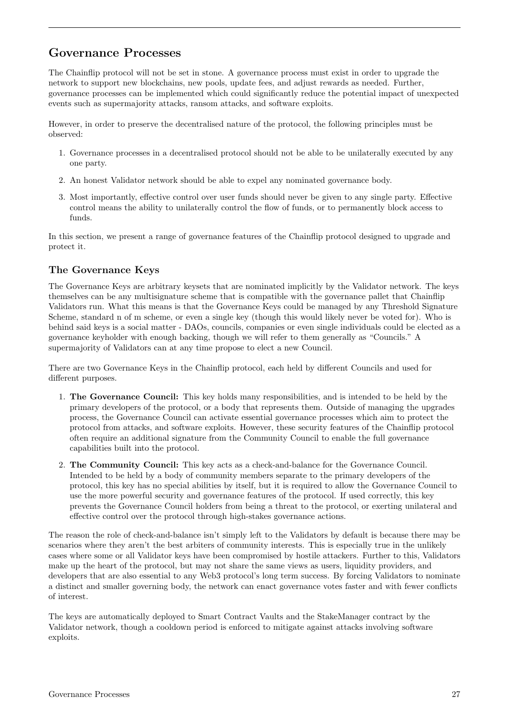# <span id="page-27-0"></span>Governance Processes

The Chainflip protocol will not be set in stone. A governance process must exist in order to upgrade the network to support new blockchains, new pools, update fees, and adjust rewards as needed. Further, governance processes can be implemented which could significantly reduce the potential impact of unexpected events such as supermajority attacks, ransom attacks, and software exploits.

However, in order to preserve the decentralised nature of the protocol, the following principles must be observed:

- 1. Governance processes in a decentralised protocol should not be able to be unilaterally executed by any one party.
- 2. An honest Validator network should be able to expel any nominated governance body.
- 3. Most importantly, effective control over user funds should never be given to any single party. Effective control means the ability to unilaterally control the flow of funds, or to permanently block access to funds.

In this section, we present a range of governance features of the Chainflip protocol designed to upgrade and protect it.

#### <span id="page-27-1"></span>The Governance Keys

The Governance Keys are arbitrary keysets that are nominated implicitly by the Validator network. The keys themselves can be any multisignature scheme that is compatible with the governance pallet that Chainflip Validators run. What this means is that the Governance Keys could be managed by any Threshold Signature Scheme, standard n of m scheme, or even a single key (though this would likely never be voted for). Who is behind said keys is a social matter - DAOs, councils, companies or even single individuals could be elected as a governance keyholder with enough backing, though we will refer to them generally as "Councils." A supermajority of Validators can at any time propose to elect a new Council.

There are two Governance Keys in the Chainflip protocol, each held by different Councils and used for different purposes.

- 1. The Governance Council: This key holds many responsibilities, and is intended to be held by the primary developers of the protocol, or a body that represents them. Outside of managing the upgrades process, the Governance Council can activate essential governance processes which aim to protect the protocol from attacks, and software exploits. However, these security features of the Chainflip protocol often require an additional signature from the Community Council to enable the full governance capabilities built into the protocol.
- 2. The Community Council: This key acts as a check-and-balance for the Governance Council. Intended to be held by a body of community members separate to the primary developers of the protocol, this key has no special abilities by itself, but it is required to allow the Governance Council to use the more powerful security and governance features of the protocol. If used correctly, this key prevents the Governance Council holders from being a threat to the protocol, or exerting unilateral and effective control over the protocol through high-stakes governance actions.

The reason the role of check-and-balance isn't simply left to the Validators by default is because there may be scenarios where they aren't the best arbiters of community interests. This is especially true in the unlikely cases where some or all Validator keys have been compromised by hostile attackers. Further to this, Validators make up the heart of the protocol, but may not share the same views as users, liquidity providers, and developers that are also essential to any Web3 protocol's long term success. By forcing Validators to nominate a distinct and smaller governing body, the network can enact governance votes faster and with fewer conflicts of interest.

The keys are automatically deployed to Smart Contract Vaults and the StakeManager contract by the Validator network, though a cooldown period is enforced to mitigate against attacks involving software exploits.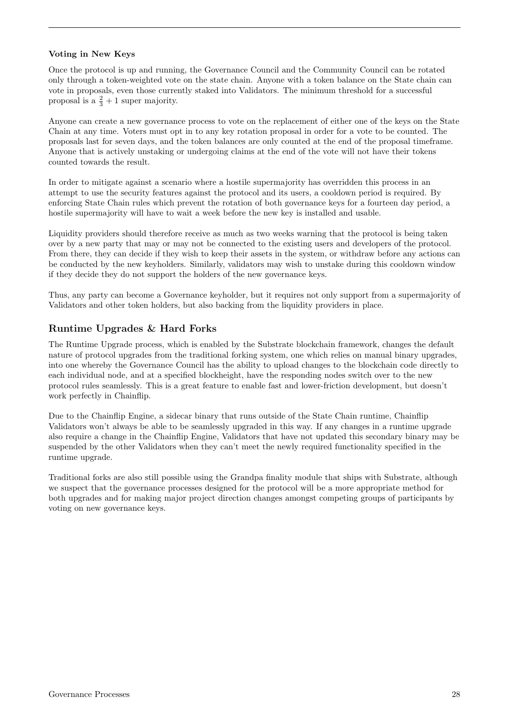#### <span id="page-28-0"></span>Voting in New Keys

Once the protocol is up and running, the Governance Council and the Community Council can be rotated only through a token-weighted vote on the state chain. Anyone with a token balance on the State chain can vote in proposals, even those currently staked into Validators. The minimum threshold for a successful proposal is a  $\frac{2}{3}+1$  super majority.

Anyone can create a new governance process to vote on the replacement of either one of the keys on the State Chain at any time. Voters must opt in to any key rotation proposal in order for a vote to be counted. The proposals last for seven days, and the token balances are only counted at the end of the proposal timeframe. Anyone that is actively unstaking or undergoing claims at the end of the vote will not have their tokens counted towards the result.

In order to mitigate against a scenario where a hostile supermajority has overridden this process in an attempt to use the security features against the protocol and its users, a cooldown period is required. By enforcing State Chain rules which prevent the rotation of both governance keys for a fourteen day period, a hostile supermajority will have to wait a week before the new key is installed and usable.

Liquidity providers should therefore receive as much as two weeks warning that the protocol is being taken over by a new party that may or may not be connected to the existing users and developers of the protocol. From there, they can decide if they wish to keep their assets in the system, or withdraw before any actions can be conducted by the new keyholders. Similarly, validators may wish to unstake during this cooldown window if they decide they do not support the holders of the new governance keys.

Thus, any party can become a Governance keyholder, but it requires not only support from a supermajority of Validators and other token holders, but also backing from the liquidity providers in place.

#### <span id="page-28-1"></span>Runtime Upgrades & Hard Forks

The Runtime Upgrade process, which is enabled by the Substrate blockchain framework, changes the default nature of protocol upgrades from the traditional forking system, one which relies on manual binary upgrades, into one whereby the Governance Council has the ability to upload changes to the blockchain code directly to each individual node, and at a specified blockheight, have the responding nodes switch over to the new protocol rules seamlessly. This is a great feature to enable fast and lower-friction development, but doesn't work perfectly in Chainflip.

Due to the Chainflip Engine, a sidecar binary that runs outside of the State Chain runtime, Chainflip Validators won't always be able to be seamlessly upgraded in this way. If any changes in a runtime upgrade also require a change in the Chainflip Engine, Validators that have not updated this secondary binary may be suspended by the other Validators when they can't meet the newly required functionality specified in the runtime upgrade.

Traditional forks are also still possible using the Grandpa finality module that ships with Substrate, although we suspect that the governance processes designed for the protocol will be a more appropriate method for both upgrades and for making major project direction changes amongst competing groups of participants by voting on new governance keys.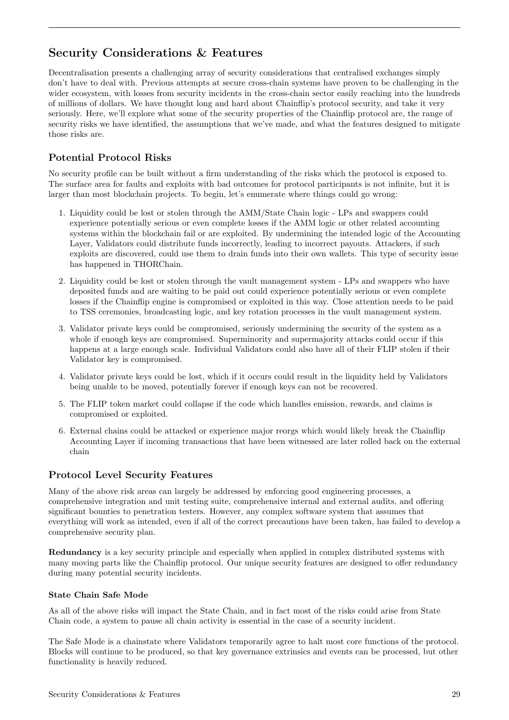# <span id="page-29-0"></span>Security Considerations & Features

Decentralisation presents a challenging array of security considerations that centralised exchanges simply don't have to deal with. Previous attempts at secure cross-chain systems have proven to be challenging in the wider ecosystem, with losses from security incidents in the cross-chain sector easily reaching into the hundreds of millions of dollars. We have thought long and hard about Chainflip's protocol security, and take it very seriously. Here, we'll explore what some of the security properties of the Chainflip protocol are, the range of security risks we have identified, the assumptions that we've made, and what the features designed to mitigate those risks are.

## <span id="page-29-1"></span>Potential Protocol Risks

No security profile can be built without a firm understanding of the risks which the protocol is exposed to. The surface area for faults and exploits with bad outcomes for protocol participants is not infinite, but it is larger than most blockchain projects. To begin, let's enumerate where things could go wrong:

- 1. Liquidity could be lost or stolen through the AMM/State Chain logic LPs and swappers could experience potentially serious or even complete losses if the AMM logic or other related accounting systems within the blockchain fail or are exploited. By undermining the intended logic of the Accounting Layer, Validators could distribute funds incorrectly, leading to incorrect payouts. Attackers, if such exploits are discovered, could use them to drain funds into their own wallets. This type of security issue has happened in THORChain.
- 2. Liquidity could be lost or stolen through the vault management system LPs and swappers who have deposited funds and are waiting to be paid out could experience potentially serious or even complete losses if the Chainflip engine is compromised or exploited in this way. Close attention needs to be paid to TSS ceremonies, broadcasting logic, and key rotation processes in the vault management system.
- 3. Validator private keys could be compromised, seriously undermining the security of the system as a whole if enough keys are compromised. Superminority and supermajority attacks could occur if this happens at a large enough scale. Individual Validators could also have all of their FLIP stolen if their Validator key is compromised.
- 4. Validator private keys could be lost, which if it occurs could result in the liquidity held by Validators being unable to be moved, potentially forever if enough keys can not be recovered.
- 5. The FLIP token market could collapse if the code which handles emission, rewards, and claims is compromised or exploited.
- 6. External chains could be attacked or experience major reorgs which would likely break the Chainflip Accounting Layer if incoming transactions that have been witnessed are later rolled back on the external chain

### <span id="page-29-2"></span>Protocol Level Security Features

Many of the above risk areas can largely be addressed by enforcing good engineering processes, a comprehensive integration and unit testing suite, comprehensive internal and external audits, and offering significant bounties to penetration testers. However, any complex software system that assumes that everything will work as intended, even if all of the correct precautions have been taken, has failed to develop a comprehensive security plan.

Redundancy is a key security principle and especially when applied in complex distributed systems with many moving parts like the Chainflip protocol. Our unique security features are designed to offer redundancy during many potential security incidents.

#### <span id="page-29-3"></span>State Chain Safe Mode

As all of the above risks will impact the State Chain, and in fact most of the risks could arise from State Chain code, a system to pause all chain activity is essential in the case of a security incident.

The Safe Mode is a chainstate where Validators temporarily agree to halt most core functions of the protocol. Blocks will continue to be produced, so that key governance extrinsics and events can be processed, but other functionality is heavily reduced.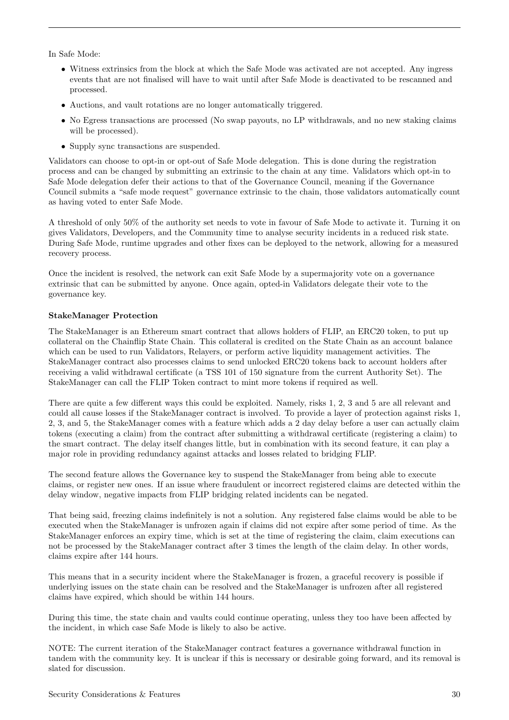In Safe Mode:

- Witness extrinsics from the block at which the Safe Mode was activated are not accepted. Any ingress events that are not finalised will have to wait until after Safe Mode is deactivated to be rescanned and processed.
- Auctions, and vault rotations are no longer automatically triggered.
- No Egress transactions are processed (No swap payouts, no LP withdrawals, and no new staking claims will be processed).
- Supply sync transactions are suspended.

Validators can choose to opt-in or opt-out of Safe Mode delegation. This is done during the registration process and can be changed by submitting an extrinsic to the chain at any time. Validators which opt-in to Safe Mode delegation defer their actions to that of the Governance Council, meaning if the Governance Council submits a "safe mode request" governance extrinsic to the chain, those validators automatically count as having voted to enter Safe Mode.

A threshold of only 50% of the authority set needs to vote in favour of Safe Mode to activate it. Turning it on gives Validators, Developers, and the Community time to analyse security incidents in a reduced risk state. During Safe Mode, runtime upgrades and other fixes can be deployed to the network, allowing for a measured recovery process.

Once the incident is resolved, the network can exit Safe Mode by a supermajority vote on a governance extrinsic that can be submitted by anyone. Once again, opted-in Validators delegate their vote to the governance key.

#### <span id="page-30-0"></span>StakeManager Protection

The StakeManager is an Ethereum smart contract that allows holders of FLIP, an ERC20 token, to put up collateral on the Chainflip State Chain. This collateral is credited on the State Chain as an account balance which can be used to run Validators, Relayers, or perform active liquidity management activities. The StakeManager contract also processes claims to send unlocked ERC20 tokens back to account holders after receiving a valid withdrawal certificate (a TSS 101 of 150 signature from the current Authority Set). The StakeManager can call the FLIP Token contract to mint more tokens if required as well.

There are quite a few different ways this could be exploited. Namely, risks 1, 2, 3 and 5 are all relevant and could all cause losses if the StakeManager contract is involved. To provide a layer of protection against risks 1, 2, 3, and 5, the StakeManager comes with a feature which adds a 2 day delay before a user can actually claim tokens (executing a claim) from the contract after submitting a withdrawal certificate (registering a claim) to the smart contract. The delay itself changes little, but in combination with its second feature, it can play a major role in providing redundancy against attacks and losses related to bridging FLIP.

The second feature allows the Governance key to suspend the StakeManager from being able to execute claims, or register new ones. If an issue where fraudulent or incorrect registered claims are detected within the delay window, negative impacts from FLIP bridging related incidents can be negated.

That being said, freezing claims indefinitely is not a solution. Any registered false claims would be able to be executed when the StakeManager is unfrozen again if claims did not expire after some period of time. As the StakeManager enforces an expiry time, which is set at the time of registering the claim, claim executions can not be processed by the StakeManager contract after 3 times the length of the claim delay. In other words, claims expire after 144 hours.

This means that in a security incident where the StakeManager is frozen, a graceful recovery is possible if underlying issues on the state chain can be resolved and the StakeManager is unfrozen after all registered claims have expired, which should be within 144 hours.

During this time, the state chain and vaults could continue operating, unless they too have been affected by the incident, in which case Safe Mode is likely to also be active.

NOTE: The current iteration of the StakeManager contract features a governance withdrawal function in tandem with the community key. It is unclear if this is necessary or desirable going forward, and its removal is slated for discussion.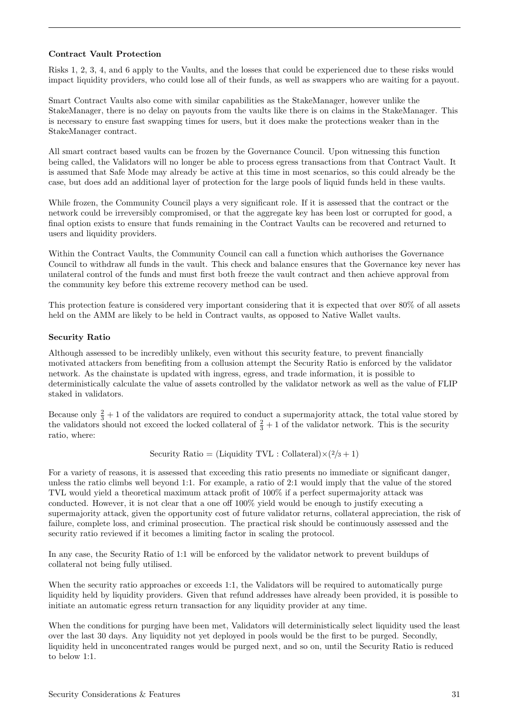#### <span id="page-31-0"></span>Contract Vault Protection

Risks 1, 2, 3, 4, and 6 apply to the Vaults, and the losses that could be experienced due to these risks would impact liquidity providers, who could lose all of their funds, as well as swappers who are waiting for a payout.

Smart Contract Vaults also come with similar capabilities as the StakeManager, however unlike the StakeManager, there is no delay on payouts from the vaults like there is on claims in the StakeManager. This is necessary to ensure fast swapping times for users, but it does make the protections weaker than in the StakeManager contract.

All smart contract based vaults can be frozen by the Governance Council. Upon witnessing this function being called, the Validators will no longer be able to process egress transactions from that Contract Vault. It is assumed that Safe Mode may already be active at this time in most scenarios, so this could already be the case, but does add an additional layer of protection for the large pools of liquid funds held in these vaults.

While frozen, the Community Council plays a very significant role. If it is assessed that the contract or the network could be irreversibly compromised, or that the aggregate key has been lost or corrupted for good, a final option exists to ensure that funds remaining in the Contract Vaults can be recovered and returned to users and liquidity providers.

Within the Contract Vaults, the Community Council can call a function which authorises the Governance Council to withdraw all funds in the vault. This check and balance ensures that the Governance key never has unilateral control of the funds and must first both freeze the vault contract and then achieve approval from the community key before this extreme recovery method can be used.

This protection feature is considered very important considering that it is expected that over 80% of all assets held on the AMM are likely to be held in Contract vaults, as opposed to Native Wallet vaults.

#### <span id="page-31-1"></span>Security Ratio

Although assessed to be incredibly unlikely, even without this security feature, to prevent financially motivated attackers from benefiting from a collusion attempt the Security Ratio is enforced by the validator network. As the chainstate is updated with ingress, egress, and trade information, it is possible to deterministically calculate the value of assets controlled by the validator network as well as the value of FLIP staked in validators.

Because only  $\frac{2}{3} + 1$  of the validators are required to conduct a supermajority attack, the total value stored by the validators should not exceed the locked collateral of  $\frac{2}{3} + 1$  of the validator network. This is the security ratio, where:

Security Ratio = (Liquidity TVL : Collateral) $\times$ (2/3 + 1)

For a variety of reasons, it is assessed that exceeding this ratio presents no immediate or significant danger, unless the ratio climbs well beyond 1:1. For example, a ratio of 2:1 would imply that the value of the stored TVL would yield a theoretical maximum attack profit of 100% if a perfect supermajority attack was conducted. However, it is not clear that a one off 100% yield would be enough to justify executing a supermajority attack, given the opportunity cost of future validator returns, collateral appreciation, the risk of failure, complete loss, and criminal prosecution. The practical risk should be continuously assessed and the security ratio reviewed if it becomes a limiting factor in scaling the protocol.

In any case, the Security Ratio of 1:1 will be enforced by the validator network to prevent buildups of collateral not being fully utilised.

When the security ratio approaches or exceeds 1:1, the Validators will be required to automatically purge liquidity held by liquidity providers. Given that refund addresses have already been provided, it is possible to initiate an automatic egress return transaction for any liquidity provider at any time.

When the conditions for purging have been met, Validators will deterministically select liquidity used the least over the last 30 days. Any liquidity not yet deployed in pools would be the first to be purged. Secondly, liquidity held in unconcentrated ranges would be purged next, and so on, until the Security Ratio is reduced to below 1:1.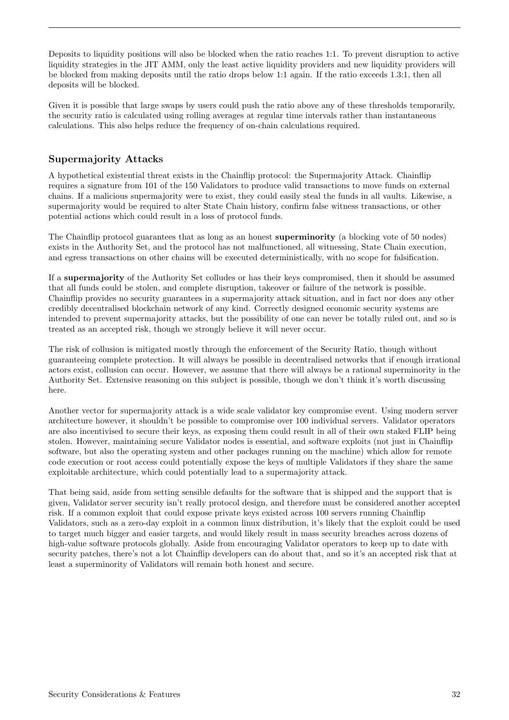Deposits to liquidity positions will also be blocked when the ratio reaches 1:1. To prevent disruption to active liquidity strategies in the JIT AMM, only the least active liquidity providers and new liquidity providers will be blocked from making deposits until the ratio drops below 1:1 again. If the ratio exceeds 1.3:1, then all deposits will be blocked.

Given it is possible that large swaps by users could push the ratio above any of these thresholds temporarily, the security ratio is calculated using rolling averages at regular time intervals rather than instantaneous calculations. This also helps reduce the frequency of on-chain calculations required.

### <span id="page-32-0"></span>Supermajority Attacks

A hypothetical existential threat exists in the Chainflip protocol: the Supermajority Attack. Chainflip requires a signature from 101 of the 150 Validators to produce valid transactions to move funds on external chains. If a malicious supermajority were to exist, they could easily steal the funds in all vaults. Likewise, a supermajority would be required to alter State Chain history, confirm false witness transactions, or other potential actions which could result in a loss of protocol funds.

The Chainflip protocol guarantees that as long as an honest superminority (a blocking vote of 50 nodes) exists in the Authority Set, and the protocol has not malfunctioned, all witnessing, State Chain execution, and egress transactions on other chains will be executed deterministically, with no scope for falsification.

If a supermajority of the Authority Set colludes or has their keys compromised, then it should be assumed that all funds could be stolen, and complete disruption, takeover or failure of the network is possible. Chainflip provides no security guarantees in a supermajority attack situation, and in fact nor does any other credibly decentralised blockchain network of any kind. Correctly designed economic security systems are intended to prevent supermajority attacks, but the possibility of one can never be totally ruled out, and so is treated as an accepted risk, though we strongly believe it will never occur.

The risk of collusion is mitigated mostly through the enforcement of the Security Ratio, though without guaranteeing complete protection. It will always be possible in decentralised networks that if enough irrational actors exist, collusion can occur. However, we assume that there will always be a rational superminority in the Authority Set. Extensive reasoning on this subject is possible, though we don't think it's worth discussing here.

Another vector for supermajority attack is a wide scale validator key compromise event. Using modern server architecture however, it shouldn't be possible to compromise over 100 individual servers. Validator operators are also incentivised to secure their keys, as exposing them could result in all of their own staked FLIP being stolen. However, maintaining secure Validator nodes is essential, and software exploits (not just in Chainflip software, but also the operating system and other packages running on the machine) which allow for remote code execution or root access could potentially expose the keys of multiple Validators if they share the same exploitable architecture, which could potentially lead to a supermajority attack.

That being said, aside from setting sensible defaults for the software that is shipped and the support that is given, Validator server security isn't really protocol design, and therefore must be considered another accepted risk. If a common exploit that could expose private keys existed across 100 servers running Chainflip Validators, such as a zero-day exploit in a common linux distribution, it's likely that the exploit could be used to target much bigger and easier targets, and would likely result in mass security breaches across dozens of high-value software protocols globally. Aside from encouraging Validator operators to keep up to date with security patches, there's not a lot Chainflip developers can do about that, and so it's an accepted risk that at least a superminority of Validators will remain both honest and secure.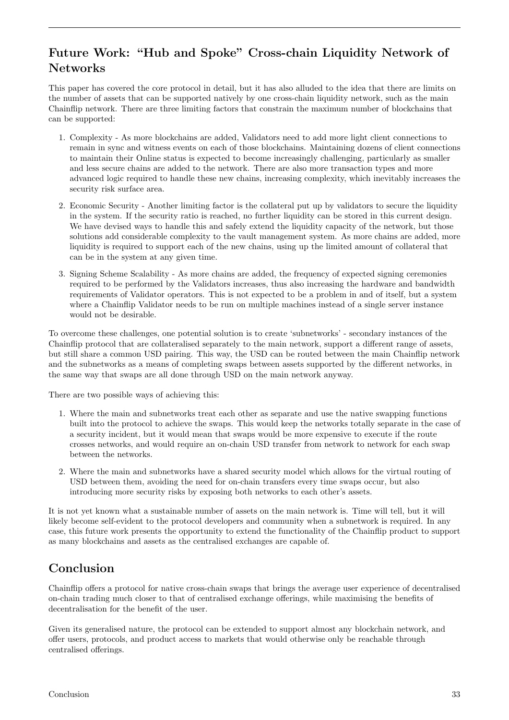# <span id="page-33-0"></span>Future Work: "Hub and Spoke" Cross-chain Liquidity Network of Networks

This paper has covered the core protocol in detail, but it has also alluded to the idea that there are limits on the number of assets that can be supported natively by one cross-chain liquidity network, such as the main Chainflip network. There are three limiting factors that constrain the maximum number of blockchains that can be supported:

- 1. Complexity As more blockchains are added, Validators need to add more light client connections to remain in sync and witness events on each of those blockchains. Maintaining dozens of client connections to maintain their Online status is expected to become increasingly challenging, particularly as smaller and less secure chains are added to the network. There are also more transaction types and more advanced logic required to handle these new chains, increasing complexity, which inevitably increases the security risk surface area.
- 2. Economic Security Another limiting factor is the collateral put up by validators to secure the liquidity in the system. If the security ratio is reached, no further liquidity can be stored in this current design. We have devised ways to handle this and safely extend the liquidity capacity of the network, but those solutions add considerable complexity to the vault management system. As more chains are added, more liquidity is required to support each of the new chains, using up the limited amount of collateral that can be in the system at any given time.
- 3. Signing Scheme Scalability As more chains are added, the frequency of expected signing ceremonies required to be performed by the Validators increases, thus also increasing the hardware and bandwidth requirements of Validator operators. This is not expected to be a problem in and of itself, but a system where a Chainflip Validator needs to be run on multiple machines instead of a single server instance would not be desirable.

To overcome these challenges, one potential solution is to create 'subnetworks' - secondary instances of the Chainflip protocol that are collateralised separately to the main network, support a different range of assets, but still share a common USD pairing. This way, the USD can be routed between the main Chainflip network and the subnetworks as a means of completing swaps between assets supported by the different networks, in the same way that swaps are all done through USD on the main network anyway.

There are two possible ways of achieving this:

- 1. Where the main and subnetworks treat each other as separate and use the native swapping functions built into the protocol to achieve the swaps. This would keep the networks totally separate in the case of a security incident, but it would mean that swaps would be more expensive to execute if the route crosses networks, and would require an on-chain USD transfer from network to network for each swap between the networks.
- 2. Where the main and subnetworks have a shared security model which allows for the virtual routing of USD between them, avoiding the need for on-chain transfers every time swaps occur, but also introducing more security risks by exposing both networks to each other's assets.

It is not yet known what a sustainable number of assets on the main network is. Time will tell, but it will likely become self-evident to the protocol developers and community when a subnetwork is required. In any case, this future work presents the opportunity to extend the functionality of the Chainflip product to support as many blockchains and assets as the centralised exchanges are capable of.

# <span id="page-33-1"></span>Conclusion

Chainflip offers a protocol for native cross-chain swaps that brings the average user experience of decentralised on-chain trading much closer to that of centralised exchange offerings, while maximising the benefits of decentralisation for the benefit of the user.

Given its generalised nature, the protocol can be extended to support almost any blockchain network, and offer users, protocols, and product access to markets that would otherwise only be reachable through centralised offerings.